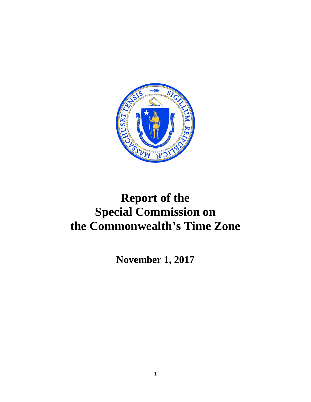

# **Report of the Special Commission on the Commonwealth's Time Zone**

**November 1, 2017**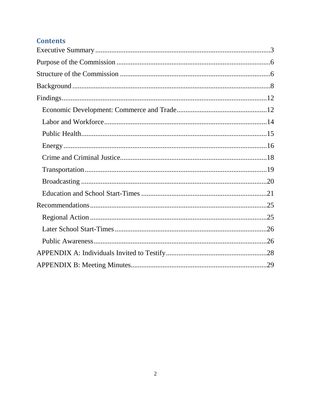## **Contents**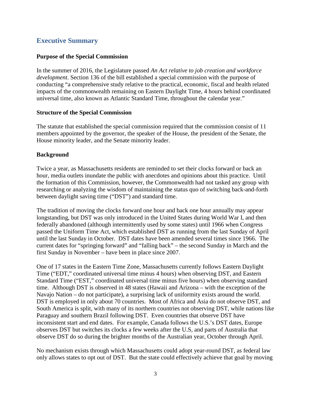## <span id="page-2-0"></span>**Executive Summary**

## **Purpose of the Special Commission**

In the summer of 2016, the Legislature passed *An Act relative to job creation and workforce development*. Section 136 of the bill established a special commission with the purpose of conducting "a comprehensive study relative to the practical, economic, fiscal and health related impacts of the commonwealth remaining on Eastern Daylight Time, 4 hours behind coordinated universal time, also known as Atlantic Standard Time, throughout the calendar year."

#### **Structure of the Special Commission**

The statute that established the special commission required that the commission consist of 11 members appointed by the governor, the speaker of the House, the president of the Senate, the House minority leader, and the Senate minority leader.

## **Background**

Twice a year, as Massachusetts residents are reminded to set their clocks forward or back an hour, media outlets inundate the public with anecdotes and opinions about this practice. Until the formation of this Commission, however, the Commonwealth had not tasked any group with researching or analyzing the wisdom of maintaining the status quo of switching back-and-forth between daylight saving time ("DST") and standard time.

The tradition of moving the clocks forward one hour and back one hour annually may appear longstanding, but DST was only introduced in the United States during World War I, and then federally abandoned (although intermittently used by some states) until 1966 when Congress passed the Uniform Time Act, which established DST as running from the last Sunday of April until the last Sunday in October. DST dates have been amended several times since 1966. The current dates for "springing forward" and "falling back" – the second Sunday in March and the first Sunday in November – have been in place since 2007.

One of 17 states in the Eastern Time Zone, Massachusetts currently follows Eastern Daylight Time ("EDT," coordinated universal time minus 4 hours) when observing DST, and Eastern Standard Time ("EST," coordinated universal time minus five hours) when observing standard time. Although DST is observed in 48 states (Hawaii and Arizona – with the exception of the Navajo Nation – do not participate), a surprising lack of uniformity exists around the world. DST is employed in only about 70 countries. Most of Africa and Asia do not observe DST, and South America is split, with many of its northern countries not observing DST, while nations like Paraguay and southern Brazil following DST. Even countries that observe DST have inconsistent start and end dates. For example, Canada follows the U.S.'s DST dates, Europe observes DST but switches its clocks a few weeks after the U.S, and parts of Australia that observe DST do so during the brighter months of the Australian year, October through April.

No mechanism exists through which Massachusetts could adopt year-round DST, as federal law only allows states to opt out of DST. But the state could effectively achieve that goal by moving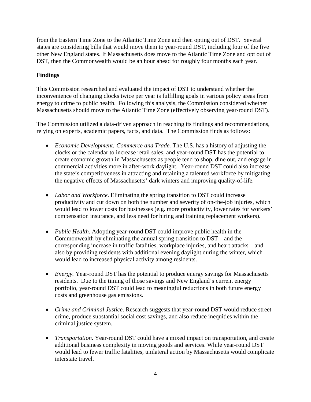from the Eastern Time Zone to the Atlantic Time Zone and then opting out of DST. Several states are considering bills that would move them to year-round DST, including four of the five other New England states. If Massachusetts does move to the Atlantic Time Zone and opt out of DST, then the Commonwealth would be an hour ahead for roughly four months each year.

## **Findings**

This Commission researched and evaluated the impact of DST to understand whether the inconvenience of changing clocks twice per year is fulfilling goals in various policy areas from energy to crime to public health. Following this analysis, the Commission considered whether Massachusetts should move to the Atlantic Time Zone (effectively observing year-round DST).

The Commission utilized a data-driven approach in reaching its findings and recommendations, relying on experts, academic papers, facts, and data. The Commission finds as follows:

- *Economic Development: Commerce and Trade.* The U.S. has a history of adjusting the clocks or the calendar to increase retail sales, and year-round DST has the potential to create economic growth in Massachusetts as people tend to shop, dine out, and engage in commercial activities more in after-work daylight. Year-round DST could also increase the state's competitiveness in attracting and retaining a talented workforce by mitigating the negative effects of Massachusetts' dark winters and improving quality-of-life.
- *Labor and Workforce*. Eliminating the spring transition to DST could increase productivity and cut down on both the number and severity of on-the-job injuries, which would lead to lower costs for businesses (e.g. more productivity, lower rates for workers' compensation insurance, and less need for hiring and training replacement workers).
- *Public Health*. Adopting year-round DST could improve public health in the Commonwealth by eliminating the annual spring transition to DST—and the corresponding increase in traffic fatalities, workplace injuries, and heart attacks—and also by providing residents with additional evening daylight during the winter, which would lead to increased physical activity among residents.
- *Energy.* Year-round DST has the potential to produce energy savings for Massachusetts residents. Due to the timing of those savings and New England's current energy portfolio, year-round DST could lead to meaningful reductions in both future energy costs and greenhouse gas emissions.
- *Crime and Criminal Justice*. Research suggests that year-round DST would reduce street crime, produce substantial social cost savings, and also reduce inequities within the criminal justice system.
- *Transportation*. Year-round DST could have a mixed impact on transportation, and create additional business complexity in moving goods and services. While year-round DST would lead to fewer traffic fatalities, unilateral action by Massachusetts would complicate interstate travel.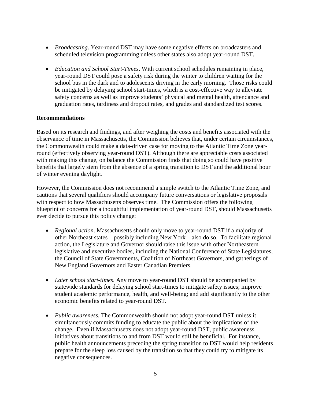- *Broadcasting*. Year-round DST may have some negative effects on broadcasters and scheduled television programming unless other states also adopt year-round DST.
- *Education and School Start-Times*. With current school schedules remaining in place, year-round DST could pose a safety risk during the winter to children waiting for the school bus in the dark and to adolescents driving in the early morning. Those risks could be mitigated by delaying school start-times, which is a cost-effective way to alleviate safety concerns as well as improve students' physical and mental health, attendance and graduation rates, tardiness and dropout rates, and grades and standardized test scores.

## **Recommendations**

Based on its research and findings, and after weighing the costs and benefits associated with the observance of time in Massachusetts, the Commission believes that, under certain circumstances, the Commonwealth could make a data-driven case for moving to the Atlantic Time Zone yearround (effectively observing year-round DST). Although there are appreciable costs associated with making this change, on balance the Commission finds that doing so could have positive benefits that largely stem from the absence of a spring transition to DST and the additional hour of winter evening daylight.

However, the Commission does not recommend a simple switch to the Atlantic Time Zone, and cautions that several qualifiers should accompany future conversations or legislative proposals with respect to how Massachusetts observes time. The Commission offers the following blueprint of concerns for a thoughtful implementation of year-round DST, should Massachusetts ever decide to pursue this policy change:

- *Regional action*. Massachusetts should only move to year-round DST if a majority of other Northeast states – possibly including New York – also do so. To facilitate regional action, the Legislature and Governor should raise this issue with other Northeastern legislative and executive bodies, including the National Conference of State Legislatures, the Council of State Governments, Coalition of Northeast Governors, and gatherings of New England Governors and Easter Canadian Premiers.
- *Later school start-times*. Any move to year-round DST should be accompanied by statewide standards for delaying school start-times to mitigate safety issues; improve student academic performance, health, and well-being; and add significantly to the other economic benefits related to year-round DST.
- *Public awareness*. The Commonwealth should not adopt year-round DST unless it simultaneously commits funding to educate the public about the implications of the change. Even if Massachusetts does not adopt year-round DST, public awareness initiatives about transitions to and from DST would still be beneficial. For instance, public health announcements preceding the spring transition to DST would help residents prepare for the sleep loss caused by the transition so that they could try to mitigate its negative consequences.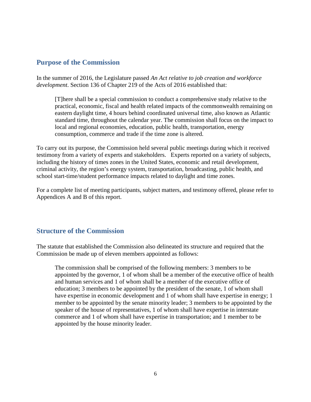## <span id="page-5-0"></span>**Purpose of the Commission**

In the summer of 2016, the Legislature passed *An Act relative to job creation and workforce development*. Section 136 of Chapter 219 of the Acts of 2016 established that:

[T]here shall be a special commission to conduct a comprehensive study relative to the practical, economic, fiscal and health related impacts of the commonwealth remaining on eastern daylight time, 4 hours behind coordinated universal time, also known as Atlantic standard time, throughout the calendar year. The commission shall focus on the impact to local and regional economies, education, public health, transportation, energy consumption, commerce and trade if the time zone is altered.

To carry out its purpose, the Commission held several public meetings during which it received testimony from a variety of experts and stakeholders. Experts reported on a variety of subjects, including the history of times zones in the United States, economic and retail development, criminal activity, the region's energy system, transportation, broadcasting, public health, and school start-time/student performance impacts related to daylight and time zones.

For a complete list of meeting participants, subject matters, and testimony offered, please refer to Appendices A and B of this report.

## <span id="page-5-1"></span>**Structure of the Commission**

The statute that established the Commission also delineated its structure and required that the Commission be made up of eleven members appointed as follows:

The commission shall be comprised of the following members: 3 members to be appointed by the governor, 1 of whom shall be a member of the executive office of health and human services and 1 of whom shall be a member of the executive office of education; 3 members to be appointed by the president of the senate, 1 of whom shall have expertise in economic development and 1 of whom shall have expertise in energy; 1 member to be appointed by the senate minority leader; 3 members to be appointed by the speaker of the house of representatives, 1 of whom shall have expertise in interstate commerce and 1 of whom shall have expertise in transportation; and 1 member to be appointed by the house minority leader.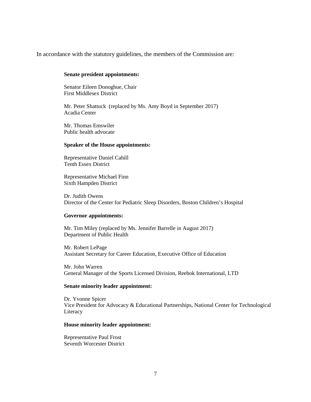In accordance with the statutory guidelines, the members of the Commission are:

#### **Senate president appointments:**

Senator Eileen Donoghue, Chair First Middlesex District

Mr. Peter Shattuck (replaced by Ms. Amy Boyd in September 2017) Acadia Center

Mr. Thomas Emswiler Public health advocate

#### **Speaker of the House appointments:**

Representative Daniel Cahill Tenth Essex District

Representative Michael Finn Sixth Hampden District

Dr. Judith Owens Director of the Center for Pediatric Sleep Disorders, Boston Children's Hospital

#### **Governor appointments:**

Mr. Tim Miley (replaced by Ms. Jennifer Barrelle in August 2017) Department of Public Health

Mr. Robert LePage Assistant Secretary for Career Education, Executive Office of Education

Mr. John Warren General Manager of the Sports Licensed Division, Reebok International, LTD

#### **Senate minority leader appointment:**

Dr. Yvonne Spicer Vice President for Advocacy & Educational Partnerships, National Center for Technological Literacy

#### **House minority leader appointment:**

Representative Paul Frost Seventh Worcester District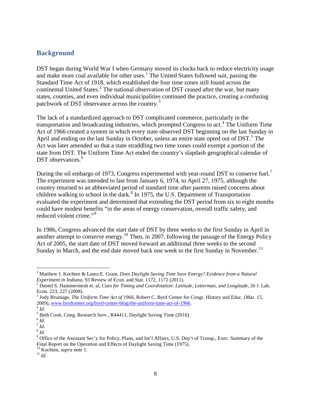## <span id="page-7-0"></span>**Background**

DST began during World War I when Germany moved its clocks back to reduce electricity usage and make more coal available for other uses.<sup>[1](#page-7-1)</sup> The United States followed suit, passing the Standard Time Act of 1918, which established the four time zones still found across the continental United States.<sup>[2](#page-7-2)</sup> The national observation of DST ceased after the war, but many states, counties, and even individual municipalities continued the practice, creating a confusing patchwork of DST observance across the country.<sup>[3](#page-7-3)</sup>

The lack of a standardized approach to DST complicated commerce, particularly in the transportation and broadcasting industries, which prompted Congress to act. [4](#page-7-4) The Uniform Time Act of 1966 created a system in which every state observed DST beginning on the last Sunday in April and ending on the last Sunday in October, unless an entire state opted out of DST.<sup>[5](#page-7-5)</sup> The Act was later amended so that a state straddling two time zones could exempt a portion of the state from DST. The Uniform Time Act ended the country's slapdash geographical calendar of DST observances.<sup>[6](#page-7-6)</sup>

During the oil embargo of 19[7](#page-7-7)3, Congress experimented with year-round DST to conserve fuel.<sup>7</sup> The experiment was intended to last from January 6, 1974, to April 27, 1975, although the country returned to an abbreviated period of standard time after parents raised concerns about children walking to school in the dark. $8$  In 1975, the U.S. Department of Transportation evaluated the experiment and determined that extending the DST period from six to eight months could have modest benefits "in the areas of energy conservation, overall traffic safety, and reduced violent crime."<sup>[9](#page-7-9)</sup>

In 1986, Congress advanced the start date of DST by three weeks to the first Sunday in April in another attempt to conserve energy.<sup>[10](#page-7-10)</sup> Then, in 2007, following the passage of the Energy Policy Act of 2005, the start date of DST moved forward an additional three weeks to the second Sunday in March, and the end date moved back one week to the first Sunday in November.<sup>[11](#page-7-11)</sup>

<span id="page-7-1"></span> <sup>1</sup> Matthew J. Kochten & Laura E. Grant, *Does Daylight Saving Time Save Energy? Evidence from a Natural Experiment in Indiana*, 93 Review of Econ. and Stat. 1172, 1172 (2011). <sup>2</sup> Daniel S. Hammermesh et. al, *Cues for Timing and Coordination: Latitude, Letterman, and Longitude*, 26 J. Lab.

<span id="page-7-2"></span>Econ. 223, 227 (2008).

<span id="page-7-3"></span><sup>&</sup>lt;sup>3</sup> Jody Brumage, *The Uniform Time Act of 1966*, Robert C. Byrd Center for Congr. History and Educ. (Mar. 15, 2009), www.byrdcenter.org/byrd-center-blog/the-uniform-time-act-of-1966.

<span id="page-7-7"></span><span id="page-7-6"></span>

<span id="page-7-9"></span><span id="page-7-8"></span>

<span id="page-7-5"></span><span id="page-7-4"></span><sup>2002),</sup> www.cyruce.net.org/cyruce comes and some and solven and solve the distribution of  $\frac{1}{4}$  Id.<br>
5 Beth Cook, Cong. Research Serv., R44411, Daylight Saving Time (2016).<br>
6 Id.<br>
8 Id.<br>
9 Office of the Assistant Sec' Final Report on the Operation and Effects of Daylight Saving Time (1975).<br><sup>10</sup> Kochten, *supra* note 1.<br><sup>11</sup> *Id*.

<span id="page-7-11"></span><span id="page-7-10"></span>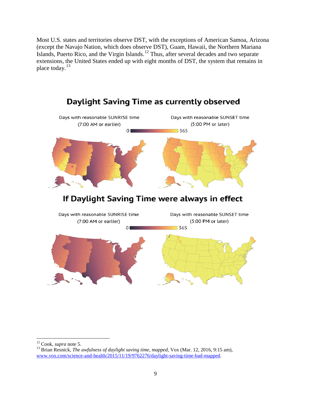Most U.S. states and territories observe DST, with the exceptions of American Samoa, Arizona (except the Navajo Nation, which does observe DST), Guam, Hawaii, the Northern Mariana Islands, Puerto Rico, and the Virgin Islands.<sup>[12](#page-8-0)</sup> Thus, after several decades and two separate extensions, the United States ended up with eight months of DST, the system that remains in place today.<sup>[13](#page-8-1)</sup>



<span id="page-8-1"></span><span id="page-8-0"></span>

<sup>&</sup>lt;sup>12</sup> Cook, *supra* note 5.<br><sup>13</sup> Brian Resnick, *The awfulness of daylight saving time, mapped*, Vox (Mar. 12, 2016, 9:15 am), [www.vox.com/science-and-health/2015/11/19/9762276/daylight-saving-time-bad-mapped.](http://www.vox.com/science-and-health/2015/11/19/9762276/daylight-saving-time-bad-mapped)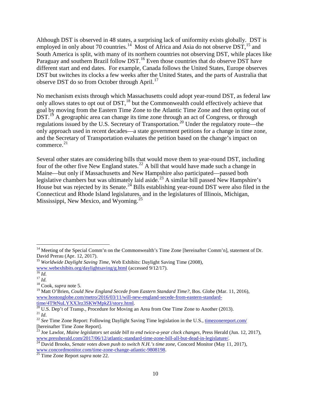Although DST is observed in 48 states, a surprising lack of uniformity exists globally. DST is employed in only about 70 countries.<sup>[14](#page-9-0)</sup> Most of Africa and Asia do not observe DST,  $^{15}$  $^{15}$  $^{15}$  and South America is split, with many of its northern countries not observing DST, while places like Paraguay and southern Brazil follow DST.<sup>[16](#page-9-2)</sup> Even those countries that do observe DST have different start and end dates. For example, Canada follows the United States, Europe observes DST but switches its clocks a few weeks after the United States, and the parts of Australia that observe DST do so from October through April.<sup>[17](#page-9-3)</sup>

No mechanism exists through which Massachusetts could adopt year-round DST, as federal law only allows states to opt out of DST,<sup>[18](#page-9-4)</sup> but the Commonwealth could effectively achieve that goal by moving from the Eastern Time Zone to the Atlantic Time Zone and then opting out of  $\overline{D}ST$ <sup>[19](#page-9-5)</sup> A geographic area can change its time zone through an act of Congress, or through regulations issued by the U.S. Secretary of Transportation.<sup>[20](#page-9-6)</sup> Under the regulatory route—the only approach used in recent decades—a state government petitions for a change in time zone, and the Secretary of Transportation evaluates the petition based on the change's impact on commerce. [21](#page-9-7)

Several other states are considering bills that would move them to year-round DST, including four of the other five New England states.<sup>[22](#page-9-8)</sup> A bill that would have made such a change in Maine—but only if Massachusetts and New Hampshire also participated—passed both legislative chambers but was ultimately laid aside.<sup>[23](#page-9-9)</sup> A similar bill passed New Hampshire's House but was rejected by its Senate.<sup>[24](#page-9-10)</sup> Bills establishing year-round DST were also filed in the Connecticut and Rhode Island legislatures, and in the legislatures of Illinois, Michigan, Mississippi, New Mexico, and Wyoming.<sup>[25](#page-9-11)</sup>

<span id="page-9-0"></span><sup>&</sup>lt;sup>14</sup> Meeting of the Special Comm'n on the Commonwealth's Time Zone [hereinafter Comm'n], statement of Dr. David Prerau (Apr. 12, 2017).

<span id="page-9-1"></span><sup>15</sup> *Worldwide Daylight Saving Time*, Web Exhibits: Daylight Saving Time (2008),

[www.webexhibits.org/daylightsaving/g.html](http://www.webexhibits.org/daylightsaving/g.html) (accessed 9/12/17).<br><sup>17</sup> *Id.* <sup>17</sup> *Id.* <sup>18</sup> Cook, *supra* note 5.

<span id="page-9-2"></span>

<span id="page-9-3"></span>

<span id="page-9-4"></span>

<span id="page-9-5"></span><sup>&</sup>lt;sup>19</sup> Matt O'Brien, *Could New England Secede from Eastern Standard Time?*, Bos. Globe (Mar. 11, 2016), [www.bostonglobe.com/metro/2016/03/11/will-new-england-secede-from-eastern-standard-](http://www.bostonglobe.com/metro/2016/03/11/will-new-england-secede-from-eastern-standard-time/4T9tNuLYXX3rz3SKWMpkZI/story.html)

<span id="page-9-8"></span><span id="page-9-7"></span>

<span id="page-9-6"></span> $\frac{\text{time/4T9tNuLYXX3rz3SKWhpkZI/story.html.}}{20 \text{ U.S. Dep't of Transp., Proceedure for Moving an Area from One Time} \text{ Zone to Another (2013).}}$   $\frac{21 \text{ Id.}}{12 \text{ See Time} \text{ Zone Report:} }$   $\frac{22 \text{ See Time} \text{ Zone Report:} }{22 \text{ See Time} \text{ Zone Report}}$ 

<sup>[</sup>hereinafter Time Zone Report]. <sup>23</sup> Joe Lawlor, *Maine legislators set aside bill to end twice-a-year clock changes*, Press Herald (Jun. 12, 2017),

<span id="page-9-10"></span><span id="page-9-9"></span>[www.pressherald.com/2017/06/12/atlantic-standard-time-zone-bill-all-but-dead-in-legislature/.](http://www.pressherald.com/2017/06/12/atlantic-standard-time-zone-bill-all-but-dead-in-legislature/)<br><sup>24</sup> David Brooks, *Senate votes down push to switch N.H.'s time zone*, Concord Monitor (May 11, 2017), www.concordmonitor.com/t

<span id="page-9-11"></span><sup>&</sup>lt;sup>25</sup> Time-Zone-Report *supra* note 22.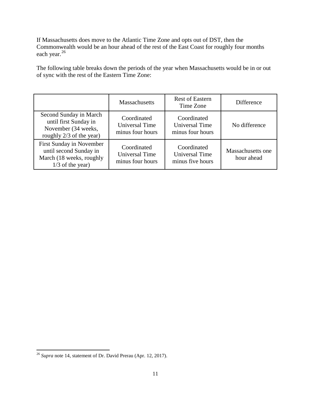If Massachusetts does move to the Atlantic Time Zone and opts out of DST, then the Commonwealth would be an hour ahead of the rest of the East Coast for roughly four months each year.<sup>[26](#page-10-1)</sup>

The following table breaks down the periods of the year when Massachusetts would be in or out of sync with the rest of the Eastern Time Zone:

<span id="page-10-0"></span>

|                                                                                                             | <b>Massachusetts</b>                                     | <b>Rest of Eastern</b><br>Time Zone                      | Difference                      |
|-------------------------------------------------------------------------------------------------------------|----------------------------------------------------------|----------------------------------------------------------|---------------------------------|
| Second Sunday in March<br>until first Sunday in<br>November (34 weeks,<br>roughly 2/3 of the year)          | Coordinated<br><b>Universal Time</b><br>minus four hours | Coordinated<br>Universal Time<br>minus four hours        | No difference                   |
| <b>First Sunday in November</b><br>until second Sunday in<br>March (18 weeks, roughly<br>$1/3$ of the year) | Coordinated<br>Universal Time<br>minus four hours        | Coordinated<br><b>Universal Time</b><br>minus five hours | Massachusetts one<br>hour ahead |

<span id="page-10-1"></span><sup>26</sup> *Supra* note 14, statement of Dr. David Prerau (Apr. 12, 2017).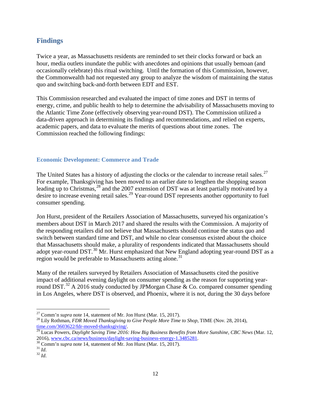## **Findings**

Twice a year, as Massachusetts residents are reminded to set their clocks forward or back an hour, media outlets inundate the public with anecdotes and opinions that usually bemoan (and occasionally celebrate) this ritual switching. Until the formation of this Commission, however, the Commonwealth had not requested any group to analyze the wisdom of maintaining the status quo and switching back-and-forth between EDT and EST.

This Commission researched and evaluated the impact of time zones and DST in terms of energy, crime, and public health to help to determine the advisability of Massachusetts moving to the Atlantic Time Zone (effectively observing year-round DST). The Commission utilized a data-driven approach in determining its findings and recommendations, and relied on experts, academic papers, and data to evaluate the merits of questions about time zones. The Commission reached the following findings:

## <span id="page-11-0"></span>**Economic Development: Commerce and Trade**

The United States has a history of adjusting the clocks or the calendar to increase retail sales.<sup>[27](#page-11-1)</sup> For example, Thanksgiving has been moved to an earlier date to lengthen the shopping season leading up to Christmas, <sup>[28](#page-11-2)</sup> and the 2007 extension of DST was at least partially motivated by a desire to increase evening retail sales.<sup>[29](#page-11-3)</sup> Year-round DST represents another opportunity to fuel consumer spending.

Jon Hurst, president of the Retailers Association of Massachusetts, surveyed his organization's members about DST in March 2017 and shared the results with the Commission. A majority of the responding retailers did not believe that Massachusetts should continue the status quo and switch between standard time and DST, and while no clear consensus existed about the choice that Massachusetts should make, a plurality of respondents indicated that Massachusetts should adopt year-round DST.[30](#page-11-4) Mr. Hurst emphasized that New England adopting year-round DST as a region would be preferable to Massachusetts acting alone.<sup>[31](#page-11-5)</sup>

Many of the retailers surveyed by Retailers Association of Massachusetts cited the positive impact of additional evening daylight on consumer spending as the reason for supporting year-round DST.<sup>[32](#page-11-6)</sup> A 2016 study conducted by JPMorgan Chase & Co. compared consumer spending in Los Angeles, where DST is observed, and Phoenix, where it is not, during the 30 days before

<span id="page-11-1"></span><sup>&</sup>lt;sup>27</sup> Comm'n *supra* note 14, statement of Mr. Jon Hurst (Mar. 15, 2017).<br><sup>28</sup> Lily Rothman, *FDR Moved Thanksgiving to Give People More Time to Shop*, TIME (Nov. 28, 2014),

<span id="page-11-3"></span><span id="page-11-2"></span>[time.com/3603622/fdr-moved-thanksgiving/.](http://time.com/3603622/fdr-moved-thanksgiving/)<br><sup>29</sup> Lucas Powers, *Daylight Saving Time 2016: How Big Business Benefits from More Sunshine, <i>CBC News* (Mar. 12, 2016), www.cbc.ca/news/business/daylight-saving-business-energy-1.

<span id="page-11-5"></span><span id="page-11-4"></span><sup>&</sup>lt;sup>30</sup> Comm'n *supra* note 14, statement of Mr. Jon Hurst (Mar. 15, 2017). <sup>31</sup> *Id.* <sup>32</sup> *Id*.

<span id="page-11-6"></span>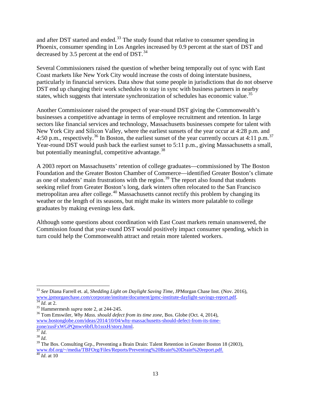and after DST started and ended.<sup>[33](#page-12-0)</sup> The study found that relative to consumer spending in Phoenix, consumer spending in Los Angeles increased by 0.9 percent at the start of DST and decreased by 3.5 percent at the end of DST.<sup>[34](#page-12-1)</sup>

Several Commissioners raised the question of whether being temporally out of sync with East Coast markets like New York City would increase the costs of doing interstate business, particularly in financial services. Data show that some people in jurisdictions that do not observe DST end up changing their work schedules to stay in sync with business partners in nearby states, which suggests that interstate synchronization of schedules has economic value.<sup>[35](#page-12-2)</sup>

Another Commissioner raised the prospect of year-round DST giving the Commonwealth's businesses a competitive advantage in terms of employee recruitment and retention. In large sectors like financial services and technology, Massachusetts businesses compete for talent with New York City and Silicon Valley, where the earliest sunsets of the year occur at 4:28 p.m. and 4:50 p.m., respectively.<sup>[36](#page-12-3)</sup> In Boston, the earliest sunset of the year currently occurs at 4:11 p.m.<sup>[37](#page-12-4)</sup> Year-round DST would push back the earliest sunset to 5:11 p.m., giving Massachusetts a small, but potentially meaningful, competitive advantage.<sup>[38](#page-12-5)</sup>

A 2003 report on Massachusetts' retention of college graduates—commissioned by The Boston Foundation and the Greater Boston Chamber of Commerce—identified Greater Boston's climate as one of students' main frustrations with the region.<sup>[39](#page-12-6)</sup> The report also found that students seeking relief from Greater Boston's long, dark winters often relocated to the San Francisco metropolitan area after college.<sup>[40](#page-12-7)</sup> Massachusetts cannot rectify this problem by changing its weather or the length of its seasons, but might make its winters more palatable to college graduates by making evenings less dark.

Although some questions about coordination with East Coast markets remain unanswered, the Commission found that year-round DST would positively impact consumer spending, which in turn could help the Commonwealth attract and retain more talented workers.

<span id="page-12-0"></span><sup>33</sup> *See* Diana Farrell et. al, *Shedding Light on Daylight Saving Time*, JPMorgan Chase Inst. (Nov. 2016), [www.jpmorganchase.com/corporate/institute/document/jpmc-institute-daylight-savings-report.pdf.](http://www.jpmorganchase.com/corporate/institute/document/jpmc-institute-daylight-savings-report.pdf)<br>
<sup>[34](http://www.jpmorganchase.com/corporate/institute/document/jpmc-institute-daylight-savings-report.pdf)</sup> *Id.* at 2.<br>
<sup>35</sup> Hammermesh *supra* note 2, at 244-245.<br>
<sup>36</sup> Tom Emswiler, *Why Mass. should defect from its time zone* 

<span id="page-12-1"></span>

<span id="page-12-3"></span><span id="page-12-2"></span>www.bostonglobe.com/ideas/2014/10/04/why-massachusetts-should-defect-from-its-time-<br> $\frac{\text{zone/zusFxWGPQmuv6bfUb1ssxH/story.html}}{^{37}Id}$ .

<span id="page-12-6"></span><span id="page-12-5"></span><span id="page-12-4"></span>za. *Id.* 38 *Id.* 38 *Id.* 38 *Id.* 38 *Id.* 39 *Id.* 39 The Bos. Consulting Grp., Preventing a Brain Drain: Talent Retention in Greater Boston 18 (2003), 39 The Bos. Consulting Grp., Preventing a Brain Drain: Talent Rete [www.tbf.org/~/media/TBFOrg/Files/Reports/Preventing%20Brain%20Drain%20report.pdf.](http://www.tbf.org/%7E/media/TBFOrg/Files/Reports/Preventing%20Brain%20Drain%20report.pdf) <sup>40</sup> *Id*. at 10

<span id="page-12-7"></span>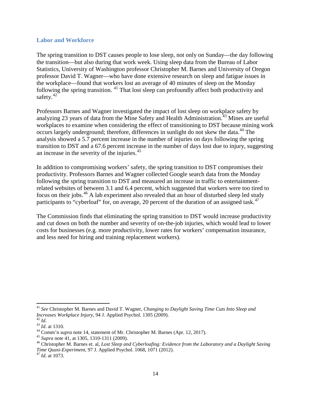#### <span id="page-13-0"></span>**Labor and Workforce**

The spring transition to DST causes people to lose sleep, not only on Sunday—the day following the transition—but also during that work week. Using sleep data from the Bureau of Labor Statistics, University of Washington professor Christopher M. Barnes and University of Oregon professor David T. Wagner—who have done extensive research on sleep and fatigue issues in the workplace—found that workers lost an average of 40 minutes of sleep on the Monday following the spring transition. <sup>[41](#page-13-1)</sup> That lost sleep can profoundly affect both productivity and safety.<sup>[42](#page-13-2)</sup>

Professors Barnes and Wagner investigated the impact of lost sleep on workplace safety by analyzing 23 years of data from the Mine Safety and Health Administration.<sup>[43](#page-13-3)</sup> Mines are useful workplaces to examine when considering the effect of transitioning to DST because mining work occurs largely underground; therefore, differences in sunlight do not skew the data.<sup>[44](#page-13-4)</sup> The analysis showed a 5.7 percent increase in the number of injuries on days following the spring transition to DST and a 67.6 percent increase in the number of days lost due to injury, suggesting an increase in the severity of the injuries.<sup>[45](#page-13-5)</sup>

In addition to compromising workers' safety, the spring transition to DST compromises their productivity. Professors Barnes and Wagner collected Google search data from the Monday following the spring transition to DST and measured an increase in traffic to entertainmentrelated websites of between 3.1 and 6.4 percent, which suggested that workers were too tired to focus on their jobs.<sup>[46](#page-13-6)</sup> A lab experiment also revealed that an hour of disturbed sleep led study participants to "cyberloaf" for, on average, 20 percent of the duration of an assigned task.<sup>[47](#page-13-7)</sup>

The Commission finds that eliminating the spring transition to DST would increase productivity and cut down on both the number and severity of on-the-job injuries, which would lead to lower costs for businesses (e.g. more productivity, lower rates for workers' compensation insurance, and less need for hiring and training replacement workers).

<span id="page-13-1"></span><sup>41</sup> *See* Christopher M. Barnes and David T. Wagner, *Changing to Daylight Saving Time Cuts Into Sleep and*  Increases Workplace Injury, 94 J. Applied Psychol. 1305 (2009).<br>
<sup>42</sup> Id.<br>
<sup>43</sup> Id. at 1310.<br>
<sup>44</sup> Comm'n supra note 14, statement of Mr. Christopher M. Barnes (Apr. 12, 2017).<br>
<sup>45</sup> Supra note 41, at 1305, 1310-1311 (2009

<span id="page-13-2"></span>

<span id="page-13-3"></span>

<span id="page-13-4"></span>

<span id="page-13-5"></span>

<span id="page-13-6"></span>*Time Quasi-Experiment*, 97 J. Applied Psychol. 1068, 1071 (2012). <sup>47</sup> *Id*. at 1073.

<span id="page-13-7"></span>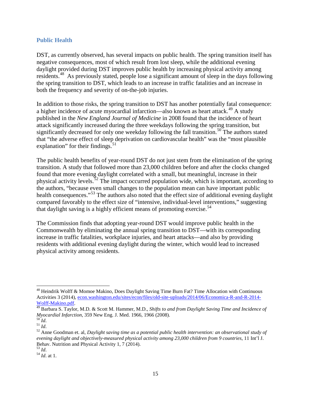#### <span id="page-14-0"></span>**Public Health**

DST, as currently observed, has several impacts on public health. The spring transition itself has negative consequences, most of which result from lost sleep, while the additional evening daylight provided during DST improves public health by increasing physical activity among residents.[48](#page-14-1) As previously stated, people lose a significant amount of sleep in the days following the spring transition to DST, which leads to an increase in traffic fatalities and an increase in both the frequency and severity of on-the-job injuries.

In addition to those risks, the spring transition to DST has another potentially fatal consequence: a higher incidence of acute myocardial infarction—also known as heart attack.<sup>[49](#page-14-2)</sup> A study published in the *New England Journal of Medicine* in 2008 found that the incidence of heart attack significantly increased during the three weekdays following the spring transition, but significantly decreased for only one weekday following the fall transition.<sup>[50](#page-14-3)</sup> The authors stated that "the adverse effect of sleep deprivation on cardiovascular health" was the "most plausible explanation" for their findings. $51$ 

The public health benefits of year-round DST do not just stem from the elimination of the spring transition. A study that followed more than 23,000 children before and after the clocks changed found that more evening daylight correlated with a small, but meaningful, increase in their physical activity levels.<sup>[52](#page-14-5)</sup> The impact occurred population wide, which is important, according to the authors, "because even small changes to the population mean can have important public health consequences."<sup>[53](#page-14-6)</sup> The authors also noted that the effect size of additional evening daylight compared favorably to the effect size of "intensive, individual-level interventions," suggesting that daylight saving is a highly efficient means of promoting exercise.<sup>[54](#page-14-7)</sup>

The Commission finds that adopting year-round DST would improve public health in the Commonwealth by eliminating the annual spring transition to DST—with its corresponding increase in traffic fatalities, workplace injuries, and heart attacks—and also by providing residents with additional evening daylight during the winter, which would lead to increased physical activity among residents.

<span id="page-14-1"></span><sup>48</sup> Heindrik Wolff & Momoe Makino, Does Daylight Saving Time Burn Fat? Time Allocation with Continuous Activities 3 (2014)[, econ.washington.edu/sites/econ/files/old-site-uploads/2014/06/Economica-R-and-R-2014-](https://econ.washington.edu/sites/econ/files/old-site-uploads/2014/06/Economica-R-and-R-2014-Wolff-Makino.pdf) [Wolff-Makino.pdf.](https://econ.washington.edu/sites/econ/files/old-site-uploads/2014/06/Economica-R-and-R-2014-Wolff-Makino.pdf) <sup>49</sup> Barbara S. Taylor, M.D. & Scott M. Hammer, M.D., *Shifts to and from Daylight Saving Time and Incidence of* 

<span id="page-14-2"></span>*Myocardial Infarction*, 359 New Eng. J. Med. 1966, 1966 (2008).<br><sup>50</sup> *Id*.<br><sup>51</sup> *Id*. 52 Anne Goodman et. al, *Daylight saving time as a potential public health intervention: an observational study of* 

<span id="page-14-3"></span>

<span id="page-14-5"></span><span id="page-14-4"></span>*evening daylight and objectively-measured physical activity among 23,000 children from 9 countries*, 11 Int'l J. Behav. Nutrition and Physical Activity 1, 7 (2014).<br>
<sup>53</sup>  $I_d$ 

<span id="page-14-7"></span><span id="page-14-6"></span><sup>53</sup> *Id*. <sup>54</sup> *Id*. at 1.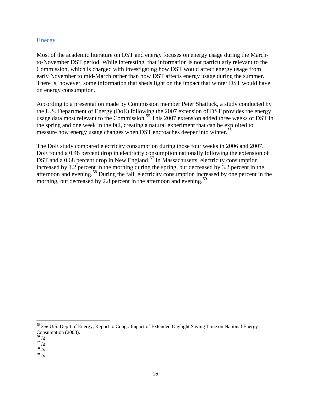## <span id="page-15-0"></span>**Energy**

Most of the academic literature on DST and energy focuses on energy usage during the Marchto-November DST period. While interesting, that information is not particularly relevant to the Commission, which is charged with investigating how DST would affect energy usage from early November to mid-March rather than how DST affects energy usage during the summer. There is, however, some information that sheds light on the impact that winter DST would have on energy consumption.

According to a presentation made by Commission member Peter Shattuck, a study conducted by the U.S. Department of Energy (DoE) following the 2007 extension of DST provides the energy usage data most relevant to the Commission.<sup>[55](#page-15-1)</sup> This 2007 extension added three weeks of DST in the spring and one week in the fall, creating a natural experiment that can be exploited to measure how energy usage changes when DST encroaches deeper into winter.<sup>[56](#page-15-2)</sup>

The DoE study compared electricity consumption during those four weeks in 2006 and 2007. DoE found a 0.48 percent drop in electricity consumption nationally following the extension of DST and a 0.68 percent drop in New England.<sup>[57](#page-15-3)</sup> In Massachusetts, electricity consumption increased by 1.2 percent in the morning during the spring, but decreased by 3.2 percent in the afternoon and evening.[58](#page-15-4) During the fall, electricity consumption increased by one percent in the morning, but decreased by 2.8 percent in the afternoon and evening.<sup>[59](#page-15-5)</sup>

<span id="page-15-5"></span>

<span id="page-15-1"></span><sup>55</sup> *See* U.S. Dep't of Energy, Report to Cong.: Impact of Extended Daylight Saving Time on National Energy Consumption (2008).

<span id="page-15-4"></span><span id="page-15-3"></span>

<span id="page-15-2"></span><sup>56</sup> *Id*. 57 *Id*. 58 *Id*. 59 *Id*.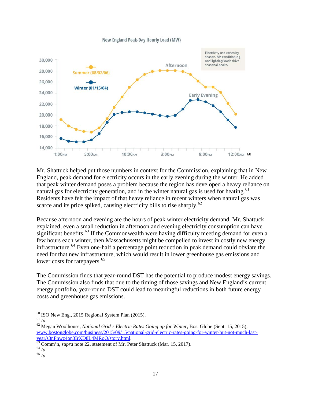



Mr. Shattuck helped put those numbers in context for the Commission, explaining that in New England, peak demand for electricity occurs in the early evening during the winter. He added that peak winter demand poses a problem because the region has developed a heavy reliance on natural gas for electricity generation, and in the winter natural gas is used for heating.<sup>[61](#page-16-1)</sup> Residents have felt the impact of that heavy reliance in recent winters when natural gas was scarce and its price spiked, causing electricity bills to rise sharply.<sup>[62](#page-16-2)</sup>

Because afternoon and evening are the hours of peak winter electricity demand, Mr. Shattuck explained, even a small reduction in afternoon and evening electricity consumption can have significant benefits.<sup>[63](#page-16-3)</sup> If the Commonwealth were having difficulty meeting demand for even a few hours each winter, then Massachusetts might be compelled to invest in costly new energy infrastructure.<sup>[64](#page-16-4)</sup> Even one-half a percentage point reduction in peak demand could obviate the need for that new infrastructure, which would result in lower greenhouse gas emissions and lower costs for ratepayers.<sup>[65](#page-16-5)</sup>

The Commission finds that year-round DST has the potential to produce modest energy savings. The Commission also finds that due to the timing of those savings and New England's current energy portfolio, year-round DST could lead to meaningful reductions in both future energy costs and greenhouse gas emissions.

<span id="page-16-2"></span><span id="page-16-1"></span>

<span id="page-16-0"></span><sup>&</sup>lt;sup>60</sup> ISO New Eng., 2015 Regional System Plan (2015).<br><sup>61</sup> *Id.* 62 Megan Woolhouse, *National Grid's Electric Rates Going up for Winter*, Bos. Globe (Sept. 15, 2015), www.bostonglobe.com/business/2015/09/15/national-grid-electric-rates-going-for-winter-but-not-much-last-<br>year/s3nFnwz4on3IrXD8L4MRoO/story.html.

<span id="page-16-4"></span><span id="page-16-3"></span><sup>&</sup>lt;sup>63</sup> Comm'n, *supra* note 22, statement of Mr. Peter Shattuck (Mar. 15, 2017). <sup>64</sup> *Id.* 65 *Id* 

<span id="page-16-5"></span>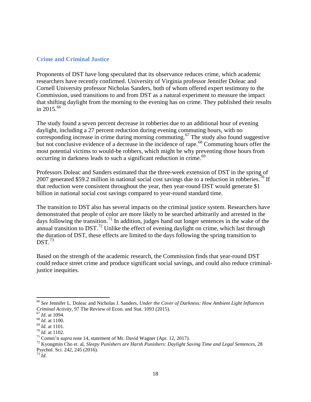#### <span id="page-17-0"></span>**Crime and Criminal Justice**

Proponents of DST have long speculated that its observance reduces crime, which academic researchers have recently confirmed. University of Virginia professor Jennifer Doleac and Cornell University professor Nicholas Sanders, both of whom offered expert testimony to the Commission, used transitions to and from DST as a natural experiment to measure the impact that shifting daylight from the morning to the evening has on crime. They published their results in 2015.<sup>[66](#page-17-1)</sup>

The study found a seven percent decrease in robberies due to an additional hour of evening daylight, including a 27 percent reduction during evening commuting hours, with no corresponding increase in crime during morning commuting.<sup>[67](#page-17-2)</sup> The study also found suggestive but not conclusive evidence of a decrease in the incidence of rape.<sup>[68](#page-17-3)</sup> Commuting hours offer the most potential victims to would-be robbers, which might be why preventing those hours from occurring in darkness leads to such a significant reduction in crime.<sup>[69](#page-17-4)</sup>

Professors Doleac and Sanders estimated that the three-week extension of DST in the spring of 2007 generated \$59.2 million in national social cost savings due to a reduction in robberies.<sup>[70](#page-17-5)</sup> If that reduction were consistent throughout the year, then year-round DST would generate \$1 billion in national social cost savings compared to year-round standard time.

The transition to DST also has several impacts on the criminal justice system. Researchers have demonstrated that people of color are more likely to be searched arbitrarily and arrested in the days following the transition.<sup>[71](#page-17-6)</sup> In addition, judges hand out longer sentences in the wake of the annual transition to DST.<sup>[72](#page-17-7)</sup> Unlike the effect of evening daylight on crime, which last through the duration of DST, these effects are limited to the days following the spring transition to  $DST.<sup>73</sup>$  $DST.<sup>73</sup>$  $DST.<sup>73</sup>$ 

Based on the strength of the academic research, the Commission finds that year-round DST could reduce street crime and produce significant social savings, and could also reduce criminaljustice inequities.

<span id="page-17-3"></span><span id="page-17-2"></span><sup>67</sup> *Id.* at 1094.<br><sup>68</sup> *Id.* at 1100.<br><sup>69</sup> *Id.* at 1101.<br><sup>70</sup> *Id.* at 1102.<br><sup>71</sup> Comm'n supra note 14, statement of Mr. David Wagner (Apr. 12, 2017).<br><sup>72</sup> Kyongmin Cho et. al, *Sleepy Punishers are Harsh Punishers: Da* Psychol. Sci. 242, 245 (2016).

<span id="page-17-8"></span><sup>73</sup> *Id*.

<span id="page-17-1"></span><sup>66</sup> *See* Jennifer L. Doleac and Nicholas J. Sanders, *Under the Cover of Darkness: How Ambient Light Influences* 

<span id="page-17-4"></span>

<span id="page-17-5"></span>

<span id="page-17-7"></span><span id="page-17-6"></span>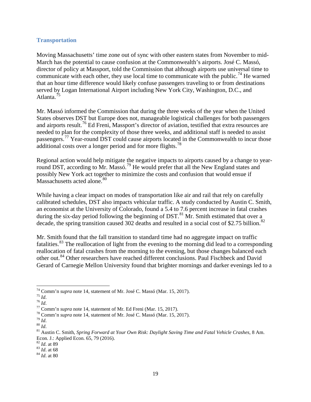#### <span id="page-18-0"></span>**Transportation**

Moving Massachusetts' time zone out of sync with other eastern states from November to mid-March has the potential to cause confusion at the Commonwealth's airports. José C. Massó, director of policy at Massport, told the Commission that although airports use universal time to communicate with each other, they use local time to communicate with the public.<sup>[74](#page-18-1)</sup> He warned that an hour time difference would likely confuse passengers traveling to or from destinations served by Logan International Airport including New York City, Washington, D.C., and Atlanta<sup>[75](#page-18-2)</sup>

Mr. Massó informed the Commission that during the three weeks of the year when the United States observes DST but Europe does not, manageable logistical challenges for both passengers and airports result.<sup>[76](#page-18-3)</sup> Ed Freni, Massport's director of aviation, testified that extra resources are needed to plan for the complexity of those three weeks, and additional staff is needed to assist passengers.<sup>[77](#page-18-4)</sup> Year-round DST could cause airports located in the Commonwealth to incur those additional costs over a longer period and for more flights.<sup>[78](#page-18-5)</sup>

Regional action would help mitigate the negative impacts to airports caused by a change to year-round DST, according to Mr. Massó.<sup>[79](#page-18-6)</sup> He would prefer that all the New England states and possibly New York act together to minimize the costs and confusion that would ensue if Massachusetts acted alone.<sup>[80](#page-18-7)</sup>

While having a clear impact on modes of transportation like air and rail that rely on carefully calibrated schedules, DST also impacts vehicular traffic. A study conducted by Austin C. Smith, an economist at the University of Colorado, found a 5.4 to 7.6 percent increase in fatal crashes during the six-day period following the beginning of DST.<sup>[81](#page-18-8)</sup> Mr. Smith estimated that over a decade, the spring transition caused 302 deaths and resulted in a social cost of \$2.75 billion.<sup>[82](#page-18-9)</sup>

Mr. Smith found that the fall transition to standard time had no aggregate impact on traffic fatalities.[83](#page-18-10) The reallocation of light from the evening to the morning did lead to a corresponding reallocation of fatal crashes from the morning to the evening, but those changes balanced each other out.[84](#page-18-11) Other researchers have reached different conclusions. Paul Fischbeck and David Gerard of Carnegie Mellon University found that brighter mornings and darker evenings led to a

<span id="page-18-3"></span>

<span id="page-18-4"></span>

<span id="page-18-6"></span><span id="page-18-5"></span>

<span id="page-18-8"></span><span id="page-18-7"></span>

<span id="page-18-2"></span><span id="page-18-1"></span><sup>&</sup>lt;sup>74</sup> Comm'n *supra* note 14, statement of Mr. José C. Massó (Mar. 15, 2017).<br>
<sup>75</sup> *Id.*<br>
<sup>76</sup> *Id.*<br>
<sup>77</sup> Comm'n *supra* note 14, statement of Mr. Ed Freni (Mar. 15, 2017).<br>
<sup>78</sup> Comm'n *supra* note 14, statement of Mr. Econ. J.: Applied Econ. 65, 79 (2016).<br><sup>82</sup> *Id.* at 89

<span id="page-18-10"></span><span id="page-18-9"></span><sup>&</sup>lt;sup>83</sup> *Id.* at 68 <sup>84</sup> *Id.* at 80

<span id="page-18-11"></span>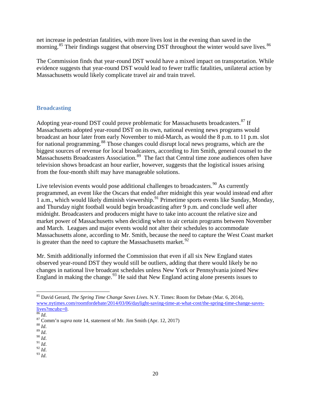net increase in pedestrian fatalities, with more lives lost in the evening than saved in the morning.<sup>[85](#page-19-1)</sup> Their findings suggest that observing DST throughout the winter would save lives.<sup>[86](#page-19-2)</sup>

The Commission finds that year-round DST would have a mixed impact on transportation. While evidence suggests that year-round DST would lead to fewer traffic fatalities, unilateral action by Massachusetts would likely complicate travel air and train travel.

## <span id="page-19-0"></span>**Broadcasting**

Adopting year-round DST could prove problematic for Massachusetts broadcasters.<sup>[87](#page-19-3)</sup> If Massachusetts adopted year-round DST on its own, national evening news programs would broadcast an hour later from early November to mid-March, as would the 8 p.m. to 11 p.m. slot for national programming.<sup>[88](#page-19-4)</sup> Those changes could disrupt local news programs, which are the biggest sources of revenue for local broadcasters, according to Jim Smith, general counsel to the Massachusetts Broadcasters Association. [89](#page-19-5) The fact that Central time zone audiences often have television shows broadcast an hour earlier, however, suggests that the logistical issues arising from the four-month shift may have manageable solutions.

Live television events would pose additional challenges to broadcasters.  $90$  As currently programmed, an event like the Oscars that ended after midnight this year would instead end after 1 a.m., which would likely diminish viewership.<sup>[91](#page-19-7)</sup> Primetime sports events like Sunday, Monday, and Thursday night football would begin broadcasting after 9 p.m. and conclude well after midnight. Broadcasters and producers might have to take into account the relative size and market power of Massachusetts when deciding when to air certain programs between November and March. Leagues and major events would not alter their schedules to accommodate Massachusetts alone, according to Mr. Smith, because the need to capture the West Coast market is greater than the need to capture the Massachusetts market. $92$ 

Mr. Smith additionally informed the Commission that even if all six New England states observed year-round DST they would still be outliers, adding that there would likely be no changes in national live broadcast schedules unless New York or Pennsylvania joined New England in making the change.<sup>[93](#page-19-9)</sup> He said that New England acting alone presents issues to

<span id="page-19-9"></span>

<span id="page-19-1"></span><sup>85</sup> David Gerard, *The Spring Time Change Saves Lives*. N.Y. Times: Room for Debate (Mar. 6, 2014), www.nytimes.com/roomfordebate/2014/03/06/daylight-saving-time-at-what-cost/the-spring-time-change-saves-<br>lives?mcubz=0.

<span id="page-19-3"></span><span id="page-19-2"></span><sup>&</sup>lt;sup>87</sup> Comm'n *supra* note 14, statement of Mr. Jim Smith (Apr. 12, 2017) <sup>88</sup> *Id*. 90 *Id*. 90 *Id*. 91 *Id*. 92 *Id*. 93 *Id*. 93 *Id*.

<span id="page-19-4"></span>

<span id="page-19-6"></span><span id="page-19-5"></span>

<span id="page-19-8"></span><span id="page-19-7"></span>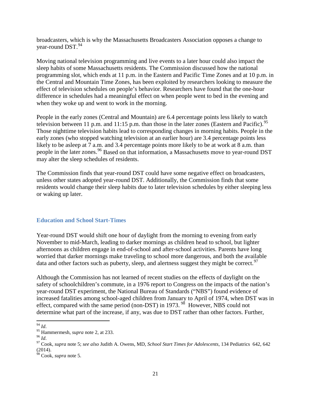broadcasters, which is why the Massachusetts Broadcasters Association opposes a change to vear-round  $DST$ .  $94$ 

Moving national television programming and live events to a later hour could also impact the sleep habits of some Massachusetts residents. The Commission discussed how the national programming slot, which ends at 11 p.m. in the Eastern and Pacific Time Zones and at 10 p.m. in the Central and Mountain Time Zones, has been exploited by researchers looking to measure the effect of television schedules on people's behavior. Researchers have found that the one-hour difference in schedules had a meaningful effect on when people went to bed in the evening and when they woke up and went to work in the morning.

People in the early zones (Central and Mountain) are 6.4 percentage points less likely to watch television between 11 p.m. and 11:15 p.m. than those in the later zones (Eastern and Pacific).  $95$ Those nighttime television habits lead to corresponding changes in morning habits. People in the early zones (who stopped watching television at an earlier hour) are 3.4 percentage points less likely to be asleep at 7 a.m. and 3.4 percentage points more likely to be at work at 8 a.m. than people in the later zones.<sup>[96](#page-20-3)</sup> Based on that information, a Massachusetts move to year-round DST may alter the sleep schedules of residents.

The Commission finds that year-round DST could have some negative effect on broadcasters, unless other states adopted year-round DST. Additionally, the Commission finds that some residents would change their sleep habits due to later television schedules by either sleeping less or waking up later.

#### <span id="page-20-0"></span>**Education and School Start-Times**

Year-round DST would shift one hour of daylight from the morning to evening from early November to mid-March, leading to darker mornings as children head to school, but lighter afternoons as children engage in end-of-school and after-school activities. Parents have long worried that darker mornings make traveling to school more dangerous, and both the available data and other factors such as puberty, sleep, and alertness suggest they might be correct. $97$ 

Although the Commission has not learned of recent studies on the effects of daylight on the safety of schoolchildren's commute, in a 1976 report to Congress on the impacts of the nation's year-round DST experiment, the National Bureau of Standards ("NBS") found evidence of increased fatalities among school-aged children from January to April of 1974, when DST was in effect, compared with the same period (non-DST) in 1973.<sup>98</sup> However, NBS could not determine what part of the increase, if any, was due to DST rather than other factors. Further,

<span id="page-20-4"></span><span id="page-20-3"></span>

<span id="page-20-2"></span><span id="page-20-1"></span><sup>94</sup> *Id*. <sup>95</sup> Hammermesh, *supra* note 2, at 233. <sup>96</sup> *Id*. 97 Cook, *supra* note 5; *see also* Judith A. Owens, MD, *School Start Times for Adolescents*, 134 Pediatrics 642, 642 (2014).

<span id="page-20-5"></span><sup>98</sup> Cook, *supra* note 5.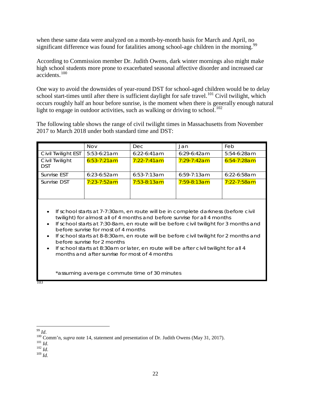when these same data were analyzed on a month-by-month basis for March and April, no significant difference was found for fatalities among school-age children in the morning.<sup>99</sup>

According to Commission member Dr. Judith Owens, dark winter mornings also might make high school students more prone to exacerbated seasonal affective disorder and increased car accidents.[100](#page-21-1)

One way to avoid the downsides of year-round DST for school-aged children would be to delay school start-times until after there is sufficient daylight for safe travel.<sup>[101](#page-21-2)</sup> Civil twilight, which occurs roughly half an hour before sunrise, is the moment when there is generally enough natural light to engage in outdoor activities, such as walking or driving to school.<sup>[102](#page-21-3)</sup>

The following table shows the range of civil twilight times in Massachusetts from November 2017 to March 2018 under both standard time and DST:

|                                                                                                                                                                                                                                                                                                                                                                                                                                                                                                                                                                | <b>Nov</b>       | Dec.             | Jan                | Feb              |  |  |
|----------------------------------------------------------------------------------------------------------------------------------------------------------------------------------------------------------------------------------------------------------------------------------------------------------------------------------------------------------------------------------------------------------------------------------------------------------------------------------------------------------------------------------------------------------------|------------------|------------------|--------------------|------------------|--|--|
| Civil Twilight EST                                                                                                                                                                                                                                                                                                                                                                                                                                                                                                                                             | 5:53-6:21am      | $6:22-6:41am$    | $6:29-6:42am$      | $5:54-6:28am$    |  |  |
| Civil Twilight<br><b>DST</b>                                                                                                                                                                                                                                                                                                                                                                                                                                                                                                                                   | $6:53 - 7:21$ am | $7:22 - 7:41$ am | <u>7:29-7:42am</u> | $6:54 - 7:28$ am |  |  |
| Sunrise EST                                                                                                                                                                                                                                                                                                                                                                                                                                                                                                                                                    | $6:23-6:52am$    | $6:53-7:13am$    | $6:59-7:13am$      | $6:22 - 6:58$ am |  |  |
| Sunrise DST                                                                                                                                                                                                                                                                                                                                                                                                                                                                                                                                                    | $7:23 - 7:52$ am | $7:53-8:13am$    | $7:59-8:13am$      | $7:22 - 7:58$ am |  |  |
| If school starts at 7-7:30am, en route will be in complete darkness (before civil<br>twilight) for almost all of 4 months and before sunrise for all 4 months<br>If school starts at 7:30-8am, en route will be before civil twilight for 3 months and<br>before sunrise for most of 4 months<br>If school starts at 8-8:30am, en route will be before civil twilight for 2 months and<br>before sunrise for 2 months<br>If school starts at 8:30am or later, en route will be after civil twilight for all 4<br>months and after sunrise for most of 4 months |                  |                  |                    |                  |  |  |
| *assuming average commute time of 30 minutes                                                                                                                                                                                                                                                                                                                                                                                                                                                                                                                   |                  |                  |                    |                  |  |  |

[103](#page-21-4)

<span id="page-21-4"></span>

<span id="page-21-1"></span><span id="page-21-0"></span><sup>99</sup> *Id.* 100 Comm'n, *supra* note 14, statement and presentation of Dr. Judith Owens (May 31, 2017). 101 *Id.* 102 *Id.* 103 *Id.* 

<span id="page-21-2"></span>

<span id="page-21-3"></span>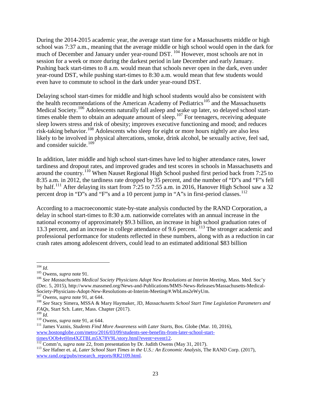During the 2014-2015 academic year, the average start time for a Massachusetts middle or high school was 7:37 a.m., meaning that the average middle or high school would open in the dark for much of December and January under year-round DST. <sup>[104](#page-22-0)</sup> However, most schools are not in session for a week or more during the darkest period in late December and early January. Pushing back start-times to 8 a.m. would mean that schools never open in the dark, even under year-round DST, while pushing start-times to 8:30 a.m. would mean that few students would even have to commute to school in the dark under year-round DST.

Delaying school start-times for middle and high school students would also be consistent with the health recommendations of the American Academy of Pediatrics<sup>[105](#page-22-1)</sup> and the Massachusetts Medical Society.<sup>[106](#page-22-2)</sup> Adolescents naturally fall asleep and wake up later, so delayed school start-times enable them to obtain an adequate amount of sleep.<sup>[107](#page-22-3)</sup> For teenagers, receiving adequate sleep lowers stress and risk of obesity; improves executive functioning and mood; and reduces risk-taking behavior.<sup>[108](#page-22-4)</sup> Adolescents who sleep for eight or more hours nightly are also less likely to be involved in physical altercations, smoke, drink alcohol, be sexually active, feel sad, and consider suicide. [109](#page-22-5)

In addition, later middle and high school start-times have led to higher attendance rates, lower tardiness and dropout rates, and improved grades and test scores in schools in Massachusetts and around the country.[110](#page-22-6) When Nauset Regional High School pushed first period back from 7:25 to 8:35 a.m. in 2012, the tardiness rate dropped by 35 percent, and the number of "D"s and "F"s fell by half.[111](#page-22-7) After delaying its start from 7:25 to 7:55 a.m. in 2016, Hanover High School saw a 32 percent drop in "D"s and "F"s and a 10 percent jump in "A"s in first-period classes.<sup>[112](#page-22-8)</sup>

According to a macroeconomic state-by-state analysis conducted by the RAND Corporation, a delay in school start-times to 8:30 a.m. nationwide correlates with an annual increase in the national economy of approximately \$9.3 billion, an increase in high school graduation rates of 13.3 percent, and an increase in college attendance of 9.6 percent. [113](#page-22-9) The stronger academic and professional performance for students reflected in these numbers, along with as a reduction in car crash rates among adolescent drivers, could lead to an estimated additional \$83 billion

<span id="page-22-2"></span><span id="page-22-1"></span>

<span id="page-22-0"></span><sup>&</sup>lt;sup>104</sup> *Id.*<br><sup>105</sup> Owens, *supra* note 91.<br><sup>106</sup> See Massachusetts Medical Society Physicians Adopt New Resolutions at Interim Meeting, Mass. Med. Soc'y (Dec. 5, 2015), http://www.massmed.org/News-and-Publications/MMS-News-Releases/Massachusetts-Medical-Society-Physicians-Adopt-New-Resolutions-at-Interim-Meeting/#.WbLms2eWyUm.<br><sup>107</sup> Owens, *supra* note 91, at 644.<br><sup>108</sup> See Stacy Simera, MSSA & Mary Haymaker, JD, *Massachusetts School Start Time Legislation Parameters and* 

<span id="page-22-4"></span><span id="page-22-3"></span>*FAQs*, Start Sch. Later, Mass. Chapter (2017).<br><sup>109</sup> *Id.* 

<span id="page-22-7"></span><span id="page-22-6"></span><span id="page-22-5"></span><sup>109</sup> *Id*. <sup>110</sup> Owens, *supra* note 91, at 644. <sup>111</sup> James Vaznis, *Students Find More Awareness with Later Starts*, Bos. Globe (Mar. 10, 2016), [www.bostonglobe.com/metro/2016/03/09/students-see-benefits-from-later-school-start](http://www.bostonglobe.com/metro/2016/03/09/students-see-benefits-from-later-school-start-times/OOb4vtHm4XZTBLm5X78V9L/story.html?event=event12) $\frac{\text{times/OOb4vtHm4XZTBLm5X78V9L/story.html?event=event12.}}{^{112} }$  $\frac{\text{times/OOb4vtHm4XZTBLm5X78V9L/story.html?event=event12.}}{^{112} }$  $\frac{\text{times/OOb4vtHm4XZTBLm5X78V9L/story.html?event=event12.}}{^{112} }$ Comm'n, *supra* note 22, from presentation by Dr. Judith Owens (May 31, 2017).<br><sup>113</sup> See Hafner et. al, *Later School Start Times in the U.S.: An Economic Analysis*, The RAND

<span id="page-22-9"></span><span id="page-22-8"></span>[www.rand.org/pubs/research\\_reports/RR2109.html.](http://www.rand.org/pubs/research_reports/RR2109.html)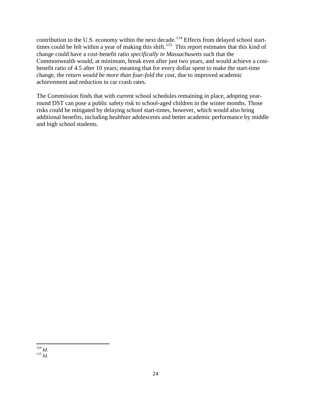contribution to the U.S. economy within the next decade.<sup>[114](#page-23-0)</sup> Effects from delayed school start-times could be felt within a year of making this shift.<sup>[115](#page-23-1)</sup> This report estimates that this kind of change could have a cost-benefit ratio *specifically in Massachusetts* such that the Commonwealth would, at minimum, break even after just two years, and would achieve a costbenefit ratio of 4.5 after 10 years; meaning that for every dollar spent to make the start-time change, the *return would be more than four-fold the cost,* due to improved academic achievement and reduction in car crash rates.

The Commission finds that with current school schedules remaining in place, adopting yearround DST can pose a public safety risk to school-aged children in the winter months. Those risks could be mitigated by delaying school start-times, however, which would also bring additional benefits, including healthier adolescents and better academic performance by middle and high school students.

<span id="page-23-1"></span><span id="page-23-0"></span> <sup>114</sup> *Id*. 115 *Id*.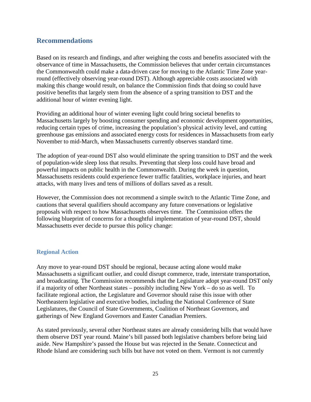## <span id="page-24-0"></span>**Recommendations**

Based on its research and findings, and after weighing the costs and benefits associated with the observance of time in Massachusetts, the Commission believes that under certain circumstances the Commonwealth could make a data-driven case for moving to the Atlantic Time Zone yearround (effectively observing year-round DST). Although appreciable costs associated with making this change would result, on balance the Commission finds that doing so could have positive benefits that largely stem from the absence of a spring transition to DST and the additional hour of winter evening light.

Providing an additional hour of winter evening light could bring societal benefits to Massachusetts largely by boosting consumer spending and economic development opportunities, reducing certain types of crime, increasing the population's physical activity level, and cutting greenhouse gas emissions and associated energy costs for residences in Massachusetts from early November to mid-March, when Massachusetts currently observes standard time.

The adoption of year-round DST also would eliminate the spring transition to DST and the week of population-wide sleep loss that results. Preventing that sleep loss could have broad and powerful impacts on public health in the Commonwealth. During the week in question, Massachusetts residents could experience fewer traffic fatalities, workplace injuries, and heart attacks, with many lives and tens of millions of dollars saved as a result.

However, the Commission does not recommend a simple switch to the Atlantic Time Zone, and cautions that several qualifiers should accompany any future conversations or legislative proposals with respect to how Massachusetts observes time. The Commission offers the following blueprint of concerns for a thoughtful implementation of year-round DST, should Massachusetts ever decide to pursue this policy change:

## <span id="page-24-1"></span>**Regional Action**

Any move to year-round DST should be regional, because acting alone would make Massachusetts a significant outlier, and could disrupt commerce, trade, interstate transportation, and broadcasting. The Commission recommends that the Legislature adopt year-round DST only if a majority of other Northeast states – possibly including New York – do so as well. To facilitate regional action, the Legislature and Governor should raise this issue with other Northeastern legislative and executive bodies, including the National Conference of State Legislatures, the Council of State Governments, Coalition of Northeast Governors, and gatherings of New England Governors and Easter Canadian Premiers.

As stated previously, several other Northeast states are already considering bills that would have them observe DST year round. Maine's bill passed both legislative chambers before being laid aside. New Hampshire's passed the House but was rejected in the Senate. Connecticut and Rhode Island are considering such bills but have not voted on them. Vermont is not currently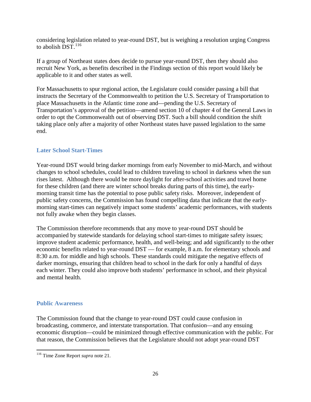considering legislation related to year-round DST, but is weighing a resolution urging Congress to abolish  $\overline{DST}$ .<sup>[116](#page-25-2)</sup>

If a group of Northeast states does decide to pursue year-round DST, then they should also recruit New York, as benefits described in the Findings section of this report would likely be applicable to it and other states as well.

For Massachusetts to spur regional action, the Legislature could consider passing a bill that instructs the Secretary of the Commonwealth to petition the U.S. Secretary of Transportation to place Massachusetts in the Atlantic time zone and—pending the U.S. Secretary of Transportation's approval of the petition—amend section 10 of chapter 4 of the General Laws in order to opt the Commonwealth out of observing DST. Such a bill should condition the shift taking place only after a majority of other Northeast states have passed legislation to the same end.

## <span id="page-25-0"></span>**Later School Start-Times**

Year-round DST would bring darker mornings from early November to mid-March, and without changes to school schedules, could lead to children traveling to school in darkness when the sun rises latest. Although there would be more daylight for after-school activities and travel home for these children (and there are winter school breaks during parts of this time), the earlymorning transit time has the potential to pose public safety risks. Moreover, independent of public safety concerns, the Commission has found compelling data that indicate that the earlymorning start-times can negatively impact some students' academic performances, with students not fully awake when they begin classes.

The Commission therefore recommends that any move to year-round DST should be accompanied by statewide standards for delaying school start-times to mitigate safety issues; improve student academic performance, health, and well-being; and add significantly to the other economic benefits related to year-round DST — for example, 8 a.m. for elementary schools and 8:30 a.m. for middle and high schools. These standards could mitigate the negative effects of darker mornings, ensuring that children head to school in the dark for only a handful of days each winter. They could also improve both students' performance in school, and their physical and mental health.

#### <span id="page-25-1"></span>**Public Awareness**

The Commission found that the change to year-round DST could cause confusion in broadcasting, commerce, and interstate transportation. That confusion—and any ensuing economic disruption—could be minimized through effective communication with the public. For that reason, the Commission believes that the Legislature should not adopt year-round DST

<span id="page-25-2"></span><sup>116</sup> Time Zone Report *supra* note 21.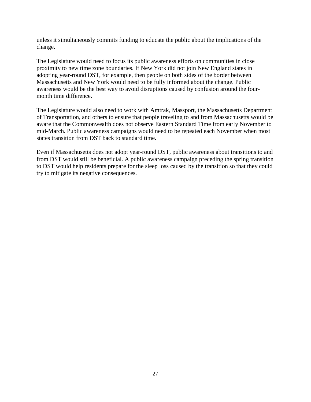unless it simultaneously commits funding to educate the public about the implications of the change.

The Legislature would need to focus its public awareness efforts on communities in close proximity to new time zone boundaries. If New York did not join New England states in adopting year-round DST, for example, then people on both sides of the border between Massachusetts and New York would need to be fully informed about the change. Public awareness would be the best way to avoid disruptions caused by confusion around the fourmonth time difference.

The Legislature would also need to work with Amtrak, Massport, the Massachusetts Department of Transportation, and others to ensure that people traveling to and from Massachusetts would be aware that the Commonwealth does not observe Eastern Standard Time from early November to mid-March. Public awareness campaigns would need to be repeated each November when most states transition from DST back to standard time.

Even if Massachusetts does not adopt year-round DST, public awareness about transitions to and from DST would still be beneficial. A public awareness campaign preceding the spring transition to DST would help residents prepare for the sleep loss caused by the transition so that they could try to mitigate its negative consequences.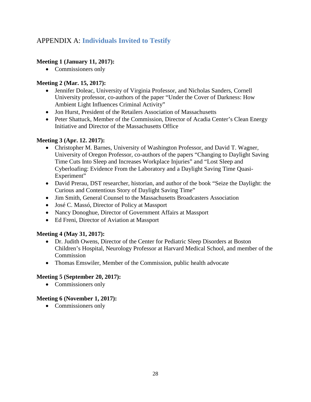## <span id="page-27-0"></span>APPENDIX A: **Individuals Invited to Testify**

## **Meeting 1 (January 11, 2017):**

• Commissioners only

## **Meeting 2 (Mar. 15, 2017):**

- Jennifer Doleac, University of Virginia Professor, and Nicholas Sanders, Cornell University professor, co-authors of the paper "Under the Cover of Darkness: How Ambient Light Influences Criminal Activity"
- Jon Hurst, President of the Retailers Association of Massachusetts
- Peter Shattuck, Member of the Commission, Director of Acadia Center's Clean Energy Initiative and Director of the Massachusetts Office

## **Meeting 3 (Apr. 12. 2017):**

- Christopher M. Barnes, University of Washington Professor, and David T. Wagner, University of Oregon Professor, co-authors of the papers "Changing to Daylight Saving Time Cuts Into Sleep and Increases Workplace Injuries" and "Lost Sleep and Cyberloafing: Evidence From the Laboratory and a Daylight Saving Time Quasi-Experiment"
- David Prerau, DST researcher, historian, and author of the book "Seize the Daylight: the Curious and Contentious Story of Daylight Saving Time"
- Jim Smith, General Counsel to the Massachusetts Broadcasters Association
- José C. Massó, Director of Policy at Massport
- Nancy Donoghue, Director of Government Affairs at Massport
- Ed Freni, Director of Aviation at Massport

## **Meeting 4 (May 31, 2017):**

- Dr. Judith Owens, Director of the Center for Pediatric Sleep Disorders at Boston Children's Hospital, Neurology Professor at Harvard Medical School, and member of the **Commission**
- Thomas Emswiler, Member of the Commission, public health advocate

## **Meeting 5 (September 20, 2017):**

• Commissioners only

## **Meeting 6 (November 1, 2017):**

• Commissioners only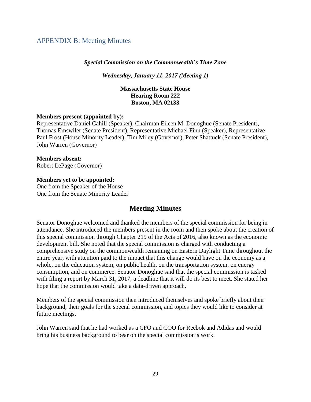## <span id="page-28-0"></span>APPENDIX B: Meeting Minutes

#### *Special Commission on the Commonwealth's Time Zone*

*Wednesday, January 11, 2017 (Meeting 1)*

#### **Massachusetts State House Hearing Room 222 Boston, MA 02133**

#### **Members present (appointed by):**

Representative Daniel Cahill (Speaker), Chairman Eileen M. Donoghue (Senate President), Thomas Emswiler (Senate President), Representative Michael Finn (Speaker), Representative Paul Frost (House Minority Leader), Tim Miley (Governor), Peter Shattuck (Senate President), John Warren (Governor)

**Members absent:**  Robert LePage (Governor)

#### **Members yet to be appointed:**

One from the Speaker of the House One from the Senate Minority Leader

## **Meeting Minutes**

Senator Donoghue welcomed and thanked the members of the special commission for being in attendance. She introduced the members present in the room and then spoke about the creation of this special commission through Chapter 219 of the Acts of 2016, also known as the economic development bill. She noted that the special commission is charged with conducting a comprehensive study on the commonwealth remaining on Eastern Daylight Time throughout the entire year, with attention paid to the impact that this change would have on the economy as a whole, on the education system, on public health, on the transportation system, on energy consumption, and on commerce. Senator Donoghue said that the special commission is tasked with filing a report by March 31, 2017, a deadline that it will do its best to meet. She stated her hope that the commission would take a data-driven approach.

Members of the special commission then introduced themselves and spoke briefly about their background, their goals for the special commission, and topics they would like to consider at future meetings.

John Warren said that he had worked as a CFO and COO for Reebok and Adidas and would bring his business background to bear on the special commission's work.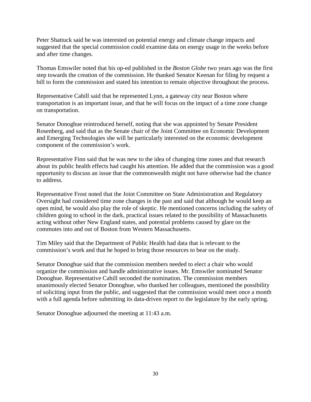Peter Shattuck said he was interested on potential energy and climate change impacts and suggested that the special commission could examine data on energy usage in the weeks before and after time changes.

Thomas Emswiler noted that his op-ed published in the *Boston Globe* two years ago was the first step towards the creation of the commission. He thanked Senator Keenan for filing by request a bill to form the commission and stated his intention to remain objective throughout the process.

Representative Cahill said that he represented Lynn, a gateway city near Boston where transportation is an important issue, and that he will focus on the impact of a time zone change on transportation.

Senator Donoghue reintroduced herself, noting that she was appointed by Senate President Rosenberg, and said that as the Senate chair of the Joint Committee on Economic Development and Emerging Technologies she will be particularly interested on the economic development component of the commission's work.

Representative Finn said that he was new to the idea of changing time zones and that research about its public health effects had caught his attention. He added that the commission was a good opportunity to discuss an issue that the commonwealth might not have otherwise had the chance to address.

Representative Frost noted that the Joint Committee on State Administration and Regulatory Oversight had considered time zone changes in the past and said that although he would keep an open mind, he would also play the role of skeptic. He mentioned concerns including the safety of children going to school in the dark, practical issues related to the possibility of Massachusetts acting without other New England states, and potential problems caused by glare on the commutes into and out of Boston from Western Massachusetts.

Tim Miley said that the Department of Public Health had data that is relevant to the commission's work and that he hoped to bring those resources to bear on the study.

Senator Donoghue said that the commission members needed to elect a chair who would organize the commission and handle administrative issues. Mr. Emswiler nominated Senator Donoghue. Representative Cahill seconded the nomination. The commission members unanimously elected Senator Donoghue, who thanked her colleagues, mentioned the possibility of soliciting input from the public, and suggested that the commission would meet once a month with a full agenda before submitting its data-driven report to the legislature by the early spring.

Senator Donoghue adjourned the meeting at 11:43 a.m.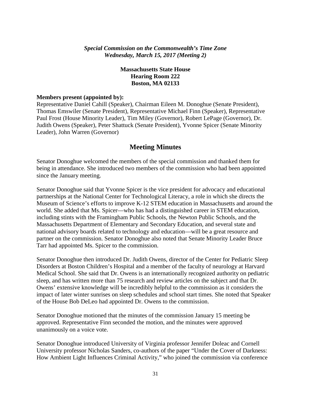## *Special Commission on the Commonwealth's Time Zone Wednesday, March 15, 2017 (Meeting 2)*

## **Massachusetts State House Hearing Room 222 Boston, MA 02133**

#### **Members present (appointed by):**

Representative Daniel Cahill (Speaker), Chairman Eileen M. Donoghue (Senate President), Thomas Emswiler (Senate President), Representative Michael Finn (Speaker), Representative Paul Frost (House Minority Leader), Tim Miley (Governor), Robert LePage (Governor), Dr. Judith Owens (Speaker), Peter Shattuck (Senate President), Yvonne Spicer (Senate Minority Leader), John Warren (Governor)

## **Meeting Minutes**

Senator Donoghue welcomed the members of the special commission and thanked them for being in attendance. She introduced two members of the commission who had been appointed since the January meeting.

Senator Donoghue said that Yvonne Spicer is the vice president for advocacy and educational partnerships at the National Center for Technological Literacy, a role in which she directs the Museum of Science's efforts to improve K-12 STEM education in Massachusetts and around the world. She added that Ms. Spicer—who has had a distinguished career in STEM education, including stints with the Framingham Public Schools, the Newton Public Schools, and the Massachusetts Department of Elementary and Secondary Education, and several state and national advisory boards related to technology and education—will be a great resource and partner on the commission. Senator Donoghue also noted that Senate Minority Leader Bruce Tarr had appointed Ms. Spicer to the commission.

Senator Donoghue then introduced Dr. Judith Owens, director of the Center for Pediatric Sleep Disorders at Boston Children's Hospital and a member of the faculty of neurology at Harvard Medical School. She said that Dr. Owens is an internationally recognized authority on pediatric sleep, and has written more than 75 research and review articles on the subject and that Dr. Owens' extensive knowledge will be incredibly helpful to the commission as it considers the impact of later winter sunrises on sleep schedules and school start times. She noted that Speaker of the House Bob DeLeo had appointed Dr. Owens to the commission.

Senator Donoghue motioned that the minutes of the commission January 15 meeting be approved. Representative Finn seconded the motion, and the minutes were approved unanimously on a voice vote.

Senator Donoghue introduced University of Virginia professor Jennifer Doleac and Cornell University professor Nicholas Sanders, co-authors of the paper "Under the Cover of Darkness: How Ambient Light Influences Criminal Activity," who joined the commission via conference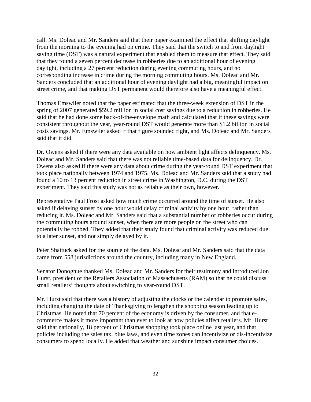call. Ms. Doleac and Mr. Sanders said that their paper examined the effect that shifting daylight from the morning to the evening had on crime. They said that the switch to and from daylight saving time (DST) was a natural experiment that enabled them to measure that effect. They said that they found a seven percent decrease in robberies due to an additional hour of evening daylight, including a 27 percent reduction during evening commuting hours, and no corresponding increase in crime during the morning commuting hours. Ms. Doleac and Mr. Sanders concluded that an additional hour of evening daylight had a big, meaningful impact on street crime, and that making DST permanent would therefore also have a meaningful effect.

Thomas Emswiler noted that the paper estimated that the three-week extension of DST in the spring of 2007 generated \$59.2 million in social cost savings due to a reduction in robberies. He said that he had done some back-of-the-envelope math and calculated that if these savings were consistent throughout the year, year-round DST would generate more than \$1.2 billion in social costs savings. Mr. Emswiler asked if that figure sounded right, and Ms. Doleac and Mr. Sanders said that it did.

Dr. Owens asked if there were any data available on how ambient light affects delinquency. Ms. Doleac and Mr. Sanders said that there was not reliable time-based data for delinquency. Dr. Owens also asked if there were any data about crime during the year-round DST experiment that took place nationally between 1974 and 1975. Ms. Doleac and Mr. Sanders said that a study had found a 10 to 13 percent reduction in street crime in Washington, D.C. during the DST experiment. They said this study was not as reliable as their own, however.

Representative Paul Frost asked how much crime occurred around the time of sunset. He also asked if delaying sunset by one hour would delay criminal activity by one hour, rather than reducing it. Ms. Doleac and Mr. Sanders said that a substantial number of robberies occur during the commuting hours around sunset, when there are more people on the street who can potentially be robbed. They added that their study found that criminal activity was reduced due to a later sunset, and not simply delayed by it.

Peter Shattuck asked for the source of the data. Ms. Doleac and Mr. Sanders said that the data came from 558 jurisdictions around the country, including many in New England.

Senator Donoghue thanked Ms. Doleac and Mr. Sanders for their testimony and introduced Jon Hurst, president of the Retailers Association of Massachusetts (RAM) so that he could discuss small retailers' thoughts about switching to year-round DST.

Mr. Hurst said that there was a history of adjusting the clocks or the calendar to promote sales, including changing the date of Thanksgiving to lengthen the shopping season leading up to Christmas. He noted that 70 percent of the economy is driven by the consumer, and that ecommerce makes it more important than ever to look at how policies affect retailers. Mr. Hurst said that nationally, 18 percent of Christmas shopping took place online last year, and that policies including the sales tax, blue laws, and even time zones can incentivize or dis-incentivize consumers to spend locally. He added that weather and sunshine impact consumer choices.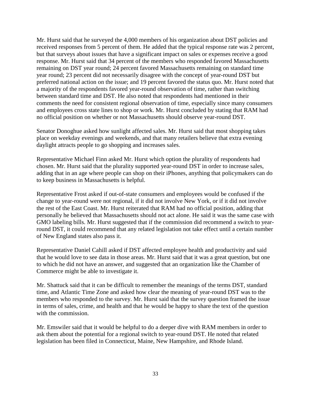Mr. Hurst said that he surveyed the 4,000 members of his organization about DST policies and received responses from 5 percent of them. He added that the typical response rate was 2 percent, but that surveys about issues that have a significant impact on sales or expenses receive a good response. Mr. Hurst said that 34 percent of the members who responded favored Massachusetts remaining on DST year round; 24 percent favored Massachusetts remaining on standard time year round; 23 percent did not necessarily disagree with the concept of year-round DST but preferred national action on the issue; and 19 percent favored the status quo. Mr. Hurst noted that a majority of the respondents favored year-round observation of time, rather than switching between standard time and DST. He also noted that respondents had mentioned in their comments the need for consistent regional observation of time, especially since many consumers and employees cross state lines to shop or work. Mr. Hurst concluded by stating that RAM had no official position on whether or not Massachusetts should observe year-round DST.

Senator Donoghue asked how sunlight affected sales. Mr. Hurst said that most shopping takes place on weekday evenings and weekends, and that many retailers believe that extra evening daylight attracts people to go shopping and increases sales.

Representative Michael Finn asked Mr. Hurst which option the plurality of respondents had chosen. Mr. Hurst said that the plurality supported year-round DST in order to increase sales, adding that in an age where people can shop on their iPhones, anything that policymakers can do to keep business in Massachusetts is helpful.

Representative Frost asked if out-of-state consumers and employees would be confused if the change to year-round were not regional, if it did not involve New York, or if it did not involve the rest of the East Coast. Mr. Hurst reiterated that RAM had no official position, adding that personally he believed that Massachusetts should not act alone. He said it was the same case with GMO labeling bills. Mr. Hurst suggested that if the commission did recommend a switch to yearround DST, it could recommend that any related legislation not take effect until a certain number of New England states also pass it.

Representative Daniel Cahill asked if DST affected employee health and productivity and said that he would love to see data in those areas. Mr. Hurst said that it was a great question, but one to which he did not have an answer, and suggested that an organization like the Chamber of Commerce might be able to investigate it.

Mr. Shattuck said that it can be difficult to remember the meanings of the terms DST, standard time, and Atlantic Time Zone and asked how clear the meaning of year-round DST was to the members who responded to the survey. Mr. Hurst said that the survey question framed the issue in terms of sales, crime, and health and that he would be happy to share the text of the question with the commission.

Mr. Emswiler said that it would be helpful to do a deeper dive with RAM members in order to ask them about the potential for a regional switch to year-round DST. He noted that related legislation has been filed in Connecticut, Maine, New Hampshire, and Rhode Island.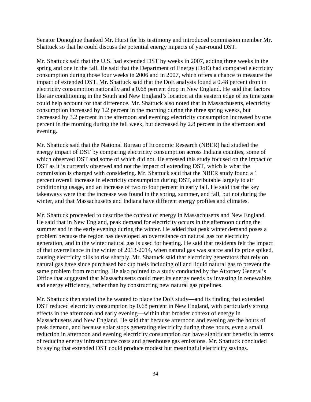Senator Donoghue thanked Mr. Hurst for his testimony and introduced commission member Mr. Shattuck so that he could discuss the potential energy impacts of year-round DST.

Mr. Shattuck said that the U.S. had extended DST by weeks in 2007, adding three weeks in the spring and one in the fall. He said that the Department of Energy (DoE) had compared electricity consumption during those four weeks in 2006 and in 2007, which offers a chance to measure the impact of extended DST. Mr. Shattuck said that the DoE analysis found a 0.48 percent drop in electricity consumption nationally and a 0.68 percent drop in New England. He said that factors like air conditioning in the South and New England's location at the eastern edge of its time zone could help account for that difference. Mr. Shattuck also noted that in Massachusetts, electricity consumption increased by 1.2 percent in the morning during the three spring weeks, but decreased by 3.2 percent in the afternoon and evening; electricity consumption increased by one percent in the morning during the fall week, but decreased by 2.8 percent in the afternoon and evening.

Mr. Shattuck said that the National Bureau of Economic Research (NBER) had studied the energy impact of DST by comparing electricity consumption across Indiana counties, some of which observed DST and some of which did not. He stressed this study focused on the impact of DST as it is currently observed and not the impact of extending DST, which is what the commission is charged with considering. Mr. Shattuck said that the NBER study found a 1 percent overall increase in electricity consumption during DST, attributable largely to air conditioning usage, and an increase of two to four percent in early fall. He said that the key takeaways were that the increase was found in the spring, summer, and fall, but not during the winter, and that Massachusetts and Indiana have different energy profiles and climates.

Mr. Shattuck proceeded to describe the context of energy in Massachusetts and New England. He said that in New England, peak demand for electricity occurs in the afternoon during the summer and in the early evening during the winter. He added that peak winter demand poses a problem because the region has developed an overreliance on natural gas for electricity generation, and in the winter natural gas is used for heating. He said that residents felt the impact of that overreliance in the winter of 2013-2014, when natural gas was scarce and its price spiked, causing electricity bills to rise sharply. Mr. Shattuck said that electricity generators that rely on natural gas have since purchased backup fuels including oil and liquid natural gas to prevent the same problem from recurring. He also pointed to a study conducted by the Attorney General's Office that suggested that Massachusetts could meet its energy needs by investing in renewables and energy efficiency, rather than by constructing new natural gas pipelines.

Mr. Shattuck then stated the he wanted to place the DoE study—and its finding that extended DST reduced electricity consumption by 0.68 percent in New England, with particularly strong effects in the afternoon and early evening—within that broader context of energy in Massachusetts and New England. He said that because afternoon and evening are the hours of peak demand, and because solar stops generating electricity during those hours, even a small reduction in afternoon and evening electricity consumption can have significant benefits in terms of reducing energy infrastructure costs and greenhouse gas emissions. Mr. Shattuck concluded by saying that extended DST could produce modest but meaningful electricity savings.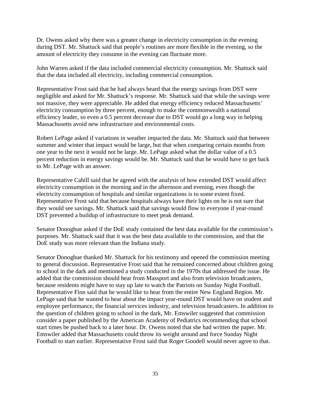Dr. Owens asked why there was a greater change in electricity consumption in the evening during DST. Mr. Shattuck said that people's routines are more flexible in the evening, so the amount of electricity they consume in the evening can fluctuate more.

John Warren asked if the data included commercial electricity consumption. Mr. Shattuck said that the data included all electricity, including commercial consumption.

Representative Frost said that he had always heard that the energy savings from DST were negligible and asked for Mr. Shattuck's response. Mr. Shattuck said that while the savings were not massive, they were appreciable. He added that energy efficiency reduced Massachusetts' electricity consumption by three percent, enough to make the commonwealth a national efficiency leader, so even a 0.5 percent decrease due to DST would go a long way in helping Massachusetts avoid new infrastructure and environmental costs.

Robert LePage asked if variations in weather impacted the data. Mr. Shattuck said that between summer and winter that impact would be large, but that when comparing certain months from one year to the next it would not be large. Mr. LePage asked what the dollar value of a 0.5 percent reduction in energy savings would be. Mr. Shattuck said that he would have to get back to Mr. LePage with an answer.

Representative Cahill said that he agreed with the analysis of how extended DST would affect electricity consumption in the morning and in the afternoon and evening, even though the electricity consumption of hospitals and similar organizations is to some extent fixed. Representative Frost said that because hospitals always have their lights on he is not sure that they would see savings. Mr. Shattuck said that savings would flow to everyone if year-round DST prevented a buildup of infrastructure to meet peak demand.

Senator Donoghue asked if the DoE study contained the best data available for the commission's purposes. Mr. Shattuck said that it was the best data available to the commission, and that the DoE study was more relevant than the Indiana study.

Senator Donoghue thanked Mr. Shattuck for his testimony and opened the commission meeting to general discussion. Representative Frost said that he remained concerned about children going to school in the dark and mentioned a study conducted in the 1970s that addressed the issue. He added that the commission should hear from Massport and also from television broadcasters, because residents might have to stay up late to watch the Patriots on Sunday Night Football. Representative Finn said that he would like to hear from the entire New England Region. Mr. LePage said that he wanted to hear about the impact year-round DST would have on student and employee performance, the financial services industry, and television broadcasters. In addition to the question of children going to school in the dark, Mr. Emswiler suggested that commission consider a paper published by the American Academy of Pediatrics recommending that school start times be pushed back to a later hour. Dr. Owens noted that she had written the paper. Mr. Emswiler added that Massachusetts could throw its weight around and force Sunday Night Football to start earlier. Representative Frost said that Roger Goodell would never agree to that.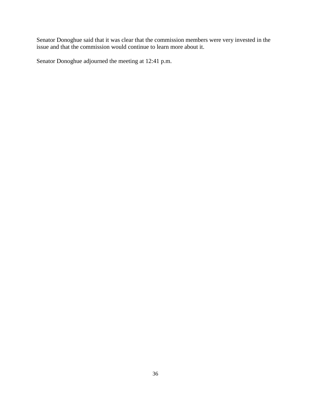Senator Donoghue said that it was clear that the commission members were very invested in the issue and that the commission would continue to learn more about it.

Senator Donoghue adjourned the meeting at 12:41 p.m.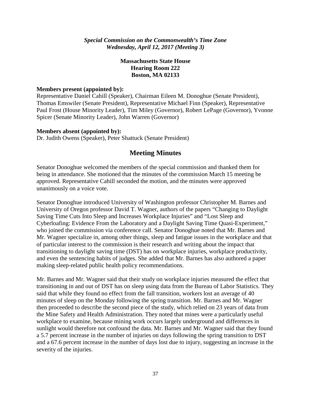*Special Commission on the Commonwealth's Time Zone Wednesday, April 12, 2017 (Meeting 3)*

## **Massachusetts State House Hearing Room 222 Boston, MA 02133**

#### **Members present (appointed by):**

Representative Daniel Cahill (Speaker), Chairman Eileen M. Donoghue (Senate President), Thomas Emswiler (Senate President), Representative Michael Finn (Speaker), Representative Paul Frost (House Minority Leader), Tim Miley (Governor), Robert LePage (Governor), Yvonne Spicer (Senate Minority Leader), John Warren (Governor)

#### **Members absent (appointed by):**

Dr. Judith Owens (Speaker), Peter Shattuck (Senate President)

#### **Meeting Minutes**

Senator Donoghue welcomed the members of the special commission and thanked them for being in attendance. She motioned that the minutes of the commission March 15 meeting be approved. Representative Cahill seconded the motion, and the minutes were approved unanimously on a voice vote.

Senator Donoghue introduced University of Washington professor Christopher M. Barnes and University of Oregon professor David T. Wagner, authors of the papers "Changing to Daylight Saving Time Cuts Into Sleep and Increases Workplace Injuries" and "Lost Sleep and Cyberloafing: Evidence From the Laboratory and a Daylight Saving Time Quasi-Experiment," who joined the commission via conference call. Senator Donoghue noted that Mr. Barnes and Mr. Wagner specialize in, among other things, sleep and fatigue issues in the workplace and that of particular interest to the commission is their research and writing about the impact that transitioning to daylight saving time (DST) has on workplace injuries, workplace productivity, and even the sentencing habits of judges. She added that Mr. Barnes has also authored a paper making sleep-related public health policy recommendations.

Mr. Barnes and Mr. Wagner said that their study on workplace injuries measured the effect that transitioning in and out of DST has on sleep using data from the Bureau of Labor Statistics. They said that while they found no effect from the fall transition, workers lost an average of 40 minutes of sleep on the Monday following the spring transition. Mr. Barnes and Mr. Wagner then proceeded to describe the second piece of the study, which relied on 23 years of data from the Mine Safety and Health Administration. They noted that mines were a particularly useful workplace to examine, because mining work occurs largely underground and differences in sunlight would therefore not confound the data. Mr. Barnes and Mr. Wagner said that they found a 5.7 percent increase in the number of injuries on days following the spring transition to DST and a 67.6 percent increase in the number of days lost due to injury, suggesting an increase in the severity of the injuries.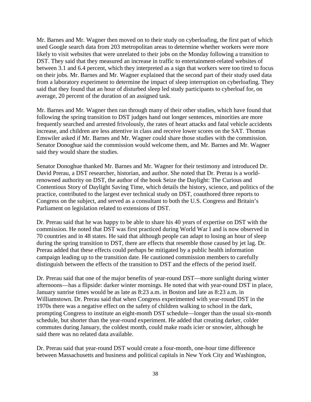Mr. Barnes and Mr. Wagner then moved on to their study on cyberloafing, the first part of which used Google search data from 203 metropolitan areas to determine whether workers were more likely to visit websites that were unrelated to their jobs on the Monday following a transition to DST. They said that they measured an increase in traffic to entertainment-related websites of between 3.1 and 6.4 percent, which they interpreted as a sign that workers were too tired to focus on their jobs. Mr. Barnes and Mr. Wagner explained that the second part of their study used data from a laboratory experiment to determine the impact of sleep interruption on cyberloafing. They said that they found that an hour of disturbed sleep led study participants to cyberloaf for, on average, 20 percent of the duration of an assigned task.

Mr. Barnes and Mr. Wagner then ran through many of their other studies, which have found that following the spring transition to DST judges hand out longer sentences, minorities are more frequently searched and arrested frivolously, the rates of heart attacks and fatal vehicle accidents increase, and children are less attentive in class and receive lower scores on the SAT. Thomas Emswiler asked if Mr. Barnes and Mr. Wagner could share those studies with the commission. Senator Donoghue said the commission would welcome them, and Mr. Barnes and Mr. Wagner said they would share the studies.

Senator Donoghue thanked Mr. Barnes and Mr. Wagner for their testimony and introduced Dr. David Prerau, a DST researcher, historian, and author. She noted that Dr. Prerau is a worldrenowned authority on DST, the author of the book Seize the Daylight: The Curious and Contentious Story of Daylight Saving Time, which details the history, science, and politics of the practice, contributed to the largest ever technical study on DST, coauthored three reports to Congress on the subject, and served as a consultant to both the U.S. Congress and Britain's Parliament on legislation related to extensions of DST.

Dr. Prerau said that he was happy to be able to share his 40 years of expertise on DST with the commission. He noted that DST was first practiced during World War I and is now observed in 70 countries and in 48 states. He said that although people can adapt to losing an hour of sleep during the spring transition to DST, there are effects that resemble those caused by jet lag. Dr. Prerau added that these effects could perhaps be mitigated by a public health information campaign leading up to the transition date. He cautioned commission members to carefully distinguish between the effects of the transition to DST and the effects of the period itself.

Dr. Prerau said that one of the major benefits of year-round DST—more sunlight during winter afternoons—has a flipside: darker winter mornings. He noted that with year-round DST in place, January sunrise times would be as late as 8:23 a.m. in Boston and late as 8:23 a.m. in Williamstown. Dr. Prerau said that when Congress experimented with year-round DST in the 1970s there was a negative effect on the safety of children walking to school in the dark, prompting Congress to institute an eight-month DST schedule—longer than the usual six-month schedule, but shorter than the year-round experiment. He added that creating darker, colder commutes during January, the coldest month, could make roads icier or snowier, although he said there was no related data available.

Dr. Prerau said that year-round DST would create a four-month, one-hour time difference between Massachusetts and business and political capitals in New York City and Washington,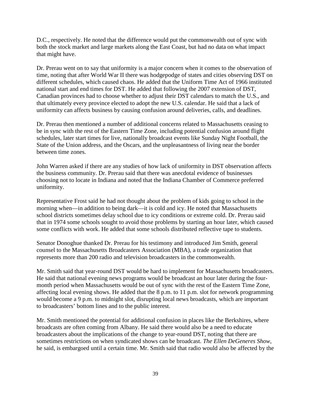D.C., respectively. He noted that the difference would put the commonwealth out of sync with both the stock market and large markets along the East Coast, but had no data on what impact that might have.

Dr. Prerau went on to say that uniformity is a major concern when it comes to the observation of time, noting that after World War II there was hodgepodge of states and cities observing DST on different schedules, which caused chaos. He added that the Uniform Time Act of 1966 instituted national start and end times for DST. He added that following the 2007 extension of DST, Canadian provinces had to choose whether to adjust their DST calendars to match the U.S., and that ultimately every province elected to adopt the new U.S. calendar. He said that a lack of uniformity can affects business by causing confusion around deliveries, calls, and deadlines.

Dr. Prerau then mentioned a number of additional concerns related to Massachusetts ceasing to be in sync with the rest of the Eastern Time Zone, including potential confusion around flight schedules, later start times for live, nationally broadcast events like Sunday Night Football, the State of the Union address, and the Oscars, and the unpleasantness of living near the border between time zones.

John Warren asked if there are any studies of how lack of uniformity in DST observation affects the business community. Dr. Prerau said that there was anecdotal evidence of businesses choosing not to locate in Indiana and noted that the Indiana Chamber of Commerce preferred uniformity.

Representative Frost said he had not thought about the problem of kids going to school in the morning when—in addition to being dark—it is cold and icy. He noted that Massachusetts school districts sometimes delay school due to icy conditions or extreme cold. Dr. Prerau said that in 1974 some schools sought to avoid those problems by starting an hour later, which caused some conflicts with work. He added that some schools distributed reflective tape to students.

Senator Donoghue thanked Dr. Prerau for his testimony and introduced Jim Smith, general counsel to the Massachusetts Broadcasters Association (MBA), a trade organization that represents more than 200 radio and television broadcasters in the commonwealth.

Mr. Smith said that year-round DST would be hard to implement for Massachusetts broadcasters. He said that national evening news programs would be broadcast an hour later during the fourmonth period when Massachusetts would be out of sync with the rest of the Eastern Time Zone, affecting local evening shows. He added that the 8 p.m. to 11 p.m. slot for network programming would become a 9 p.m. to midnight slot, disrupting local news broadcasts, which are important to broadcasters' bottom lines and to the public interest.

Mr. Smith mentioned the potential for additional confusion in places like the Berkshires, where broadcasts are often coming from Albany. He said there would also be a need to educate broadcasters about the implications of the change to year-round DST, noting that there are sometimes restrictions on when syndicated shows can be broadcast. *The Ellen DeGeneres Show*, he said, is embargoed until a certain time. Mr. Smith said that radio would also be affected by the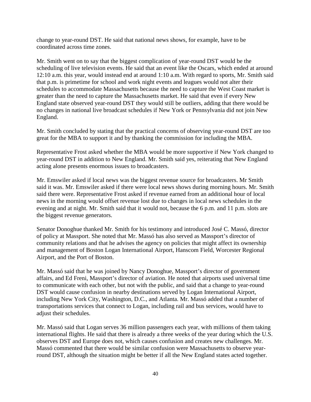change to year-round DST. He said that national news shows, for example, have to be coordinated across time zones.

Mr. Smith went on to say that the biggest complication of year-round DST would be the scheduling of live television events. He said that an event like the Oscars, which ended at around 12:10 a.m. this year, would instead end at around 1:10 a.m. With regard to sports, Mr. Smith said that p.m. is primetime for school and work night events and leagues would not alter their schedules to accommodate Massachusetts because the need to capture the West Coast market is greater than the need to capture the Massachusetts market. He said that even if every New England state observed year-round DST they would still be outliers, adding that there would be no changes in national live broadcast schedules if New York or Pennsylvania did not join New England.

Mr. Smith concluded by stating that the practical concerns of observing year-round DST are too great for the MBA to support it and by thanking the commission for including the MBA.

Representative Frost asked whether the MBA would be more supportive if New York changed to year-round DST in addition to New England. Mr. Smith said yes, reiterating that New England acting alone presents enormous issues to broadcasters.

Mr. Emswiler asked if local news was the biggest revenue source for broadcasters. Mr Smith said it was. Mr. Emswiler asked if there were local news shows during morning hours. Mr. Smith said there were. Representative Frost asked if revenue earned from an additional hour of local news in the morning would offset revenue lost due to changes in local news schedules in the evening and at night. Mr. Smith said that it would not, because the 6 p.m. and 11 p.m. slots are the biggest revenue generators.

Senator Donoghue thanked Mr. Smith for his testimony and introduced José C. Massó, director of policy at Massport. She noted that Mr. Massó has also served as Massport's director of community relations and that he advises the agency on policies that might affect its ownership and management of Boston Logan International Airport, Hanscom Field, Worcester Regional Airport, and the Port of Boston.

Mr. Massó said that he was joined by Nancy Donoghue, Massport's director of government affairs, and Ed Freni, Massport's director of aviation. He noted that airports used universal time to communicate with each other, but not with the public, and said that a change to year-round DST would cause confusion in nearby destinations served by Logan International Airport, including New York City, Washington, D.C., and Atlanta. Mr. Massó added that a number of transportations services that connect to Logan, including rail and bus services, would have to adjust their schedules.

Mr. Massó said that Logan serves 36 million passengers each year, with millions of them taking international flights. He said that there is already a three weeks of the year during which the U.S. observes DST and Europe does not, which causes confusion and creates new challenges. Mr. Massó commented that there would be similar confusion were Massachusetts to observe yearround DST, although the situation might be better if all the New England states acted together.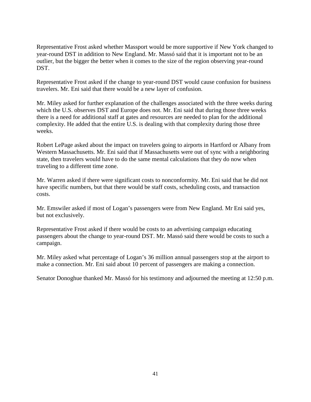Representative Frost asked whether Massport would be more supportive if New York changed to year-round DST in addition to New England. Mr. Massó said that it is important not to be an outlier, but the bigger the better when it comes to the size of the region observing year-round DST.

Representative Frost asked if the change to year-round DST would cause confusion for business travelers. Mr. Eni said that there would be a new layer of confusion.

Mr. Miley asked for further explanation of the challenges associated with the three weeks during which the U.S. observes DST and Europe does not. Mr. Eni said that during those three weeks there is a need for additional staff at gates and resources are needed to plan for the additional complexity. He added that the entire U.S. is dealing with that complexity during those three weeks.

Robert LePage asked about the impact on travelers going to airports in Hartford or Albany from Western Massachusetts. Mr. Eni said that if Massachusetts were out of sync with a neighboring state, then travelers would have to do the same mental calculations that they do now when traveling to a different time zone.

Mr. Warren asked if there were significant costs to nonconformity. Mr. Eni said that he did not have specific numbers, but that there would be staff costs, scheduling costs, and transaction costs.

Mr. Emswiler asked if most of Logan's passengers were from New England. Mr Eni said yes, but not exclusively.

Representative Frost asked if there would be costs to an advertising campaign educating passengers about the change to year-round DST. Mr. Massó said there would be costs to such a campaign.

Mr. Miley asked what percentage of Logan's 36 million annual passengers stop at the airport to make a connection. Mr. Eni said about 10 percent of passengers are making a connection.

Senator Donoghue thanked Mr. Massó for his testimony and adjourned the meeting at 12:50 p.m.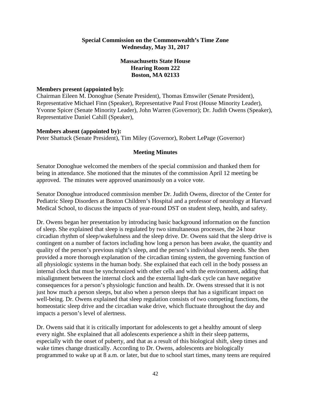#### **Special Commission on the Commonwealth's Time Zone Wednesday, May 31, 2017**

## **Massachusetts State House Hearing Room 222 Boston, MA 02133**

#### **Members present (appointed by):**

Chairman Eileen M. Donoghue (Senate President), Thomas Emswiler (Senate President), Representative Michael Finn (Speaker), Representative Paul Frost (House Minority Leader), Yvonne Spicer (Senate Minority Leader), John Warren (Governor); Dr. Judith Owens (Speaker), Representative Daniel Cahill (Speaker),

#### **Members absent (appointed by):**

Peter Shattuck (Senate President), Tim Miley (Governor), Robert LePage (Governor)

#### **Meeting Minutes**

Senator Donoghue welcomed the members of the special commission and thanked them for being in attendance. She motioned that the minutes of the commission April 12 meeting be approved. The minutes were approved unanimously on a voice vote.

Senator Donoghue introduced commission member Dr. Judith Owens, director of the Center for Pediatric Sleep Disorders at Boston Children's Hospital and a professor of neurology at Harvard Medical School, to discuss the impacts of year-round DST on student sleep, health, and safety.

Dr. Owens began her presentation by introducing basic background information on the function of sleep. She explained that sleep is regulated by two simultaneous processes, the 24 hour circadian rhythm of sleep/wakefulness and the sleep drive. Dr. Owens said that the sleep drive is contingent on a number of factors including how long a person has been awake, the quantity and quality of the person's previous night's sleep, and the person's individual sleep needs. She then provided a more thorough explanation of the circadian timing system, the governing function of all physiologic systems in the human body. She explained that each cell in the body possess an internal clock that must be synchronized with other cells and with the environment, adding that misalignment between the internal clock and the external light-dark cycle can have negative consequences for a person's physiologic function and health. Dr. Owens stressed that it is not just how much a person sleeps, but also when a person sleeps that has a significant impact on well-being. Dr. Owens explained that sleep regulation consists of two competing functions, the homeostatic sleep drive and the circadian wake drive, which fluctuate throughout the day and impacts a person's level of alertness.

Dr. Owens said that it is critically important for adolescents to get a healthy amount of sleep every night. She explained that all adolescents experience a shift in their sleep patterns, especially with the onset of puberty, and that as a result of this biological shift, sleep times and wake times change drastically. According to Dr. Owens, adolescents are biologically programmed to wake up at 8 a.m. or later, but due to school start times, many teens are required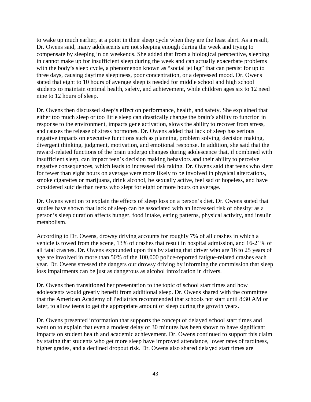to wake up much earlier, at a point in their sleep cycle when they are the least alert. As a result, Dr. Owens said, many adolescents are not sleeping enough during the week and trying to compensate by sleeping in on weekends. She added that from a biological perspective, sleeping in cannot make up for insufficient sleep during the week and can actually exacerbate problems with the body's sleep cycle, a phenomenon known as "social jet lag" that can persist for up to three days, causing daytime sleepiness, poor concentration, or a depressed mood. Dr. Owens stated that eight to 10 hours of average sleep is needed for middle school and high school students to maintain optimal health, safety, and achievement, while children ages six to 12 need nine to 12 hours of sleep.

Dr. Owens then discussed sleep's effect on performance, health, and safety. She explained that either too much sleep or too little sleep can drastically change the brain's ability to function in response to the environment, impacts gene activation, slows the ability to recover from stress, and causes the release of stress hormones. Dr. Owens added that lack of sleep has serious negative impacts on executive functions such as planning, problem solving, decision making, divergent thinking, judgment, motivation, and emotional response. In addition, she said that the reward-related functions of the brain undergo changes during adolescence that, if combined with insufficient sleep, can impact teen's decision making behaviors and their ability to perceive negative consequences, which leads to increased risk taking. Dr. Owens said that teens who slept for fewer than eight hours on average were more likely to be involved in physical altercations, smoke cigarettes or marijuana, drink alcohol, be sexually active, feel sad or hopeless, and have considered suicide than teens who slept for eight or more hours on average.

Dr. Owens went on to explain the effects of sleep loss on a person's diet. Dr. Owens stated that studies have shown that lack of sleep can be associated with an increased risk of obesity; as a person's sleep duration affects hunger, food intake, eating patterns, physical activity, and insulin metabolism.

According to Dr. Owens, drowsy driving accounts for roughly 7% of all crashes in which a vehicle is towed from the scene, 13% of crashes that result in hospital admission, and 16-21% of all fatal crashes. Dr. Owens expounded upon this by stating that driver who are 16 to 25 years of age are involved in more than 50% of the 100,000 police-reported fatigue-related crashes each year. Dr. Owens stressed the dangers our drowsy driving by informing the commission that sleep loss impairments can be just as dangerous as alcohol intoxication in drivers.

Dr. Owens then transitioned her presentation to the topic of school start times and how adolescents would greatly benefit from additional sleep. Dr. Owens shared with the committee that the American Academy of Pediatrics recommended that schools not start until 8:30 AM or later, to allow teens to get the appropriate amount of sleep during the growth years.

Dr. Owens presented information that supports the concept of delayed school start times and went on to explain that even a modest delay of 30 minutes has been shown to have significant impacts on student health and academic achievement. Dr. Owens continued to support this claim by stating that students who get more sleep have improved attendance, lower rates of tardiness, higher grades, and a declined dropout risk. Dr. Owens also shared delayed start times are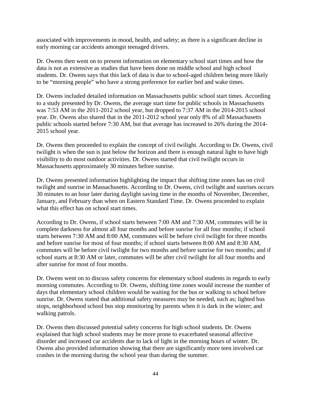associated with improvements in mood, health, and safety; as there is a significant decline in early morning car accidents amongst teenaged drivers.

Dr. Owens then went on to present information on elementary school start times and how the data is not as extensive as studies that have been done on middle school and high school students. Dr. Owens says that this lack of data is due to school-aged children being more likely to be "morning people" who have a strong preference for earlier bed and wake times.

Dr. Owens included detailed information on Massachusetts public school start times. According to a study presented by Dr. Owens, the average start time for public schools in Massachusetts was 7:53 AM in the 2011-2012 school year, but dropped to 7:37 AM in the 2014-2015 school year. Dr. Owens also shared that in the 2011-2012 school year only 8% of all Massachusetts public schools started before 7:30 AM, but that average has increased to 26% during the 2014- 2015 school year.

Dr. Owens then proceeded to explain the concept of civil twilight. According to Dr. Owens, civil twilight is when the sun is just below the horizon and there is enough natural light to have high visibility to do most outdoor activities. Dr. Owens started that civil twilight occurs in Massachusetts approximately 30 minutes before sunrise.

Dr. Owens presented information highlighting the impact that shifting time zones has on civil twilight and sunrise in Massachusetts. According to Dr. Owens, civil twilight and sunrises occurs 30 minutes to an hour later during daylight saving time in the months of November, December, January, and February than when on Eastern Standard Time. Dr. Owens proceeded to explain what this effect has on school start times.

According to Dr. Owens, if school starts between 7:00 AM and 7:30 AM, commutes will be in complete darkness for almost all four months and before sunrise for all four months; if school starts between 7:30 AM and 8:00 AM, commutes will be before civil twilight for three months and before sunrise for most of four months; if school starts between 8:00 AM and 8:30 AM, commutes will be before civil twilight for two months and before sunrise for two months; and if school starts at 8:30 AM or later, commutes will be after civil twilight for all four months and after sunrise for most of four months.

Dr. Owens went on to discuss safety concerns for elementary school students in regards to early morning commutes. According to Dr. Owens, shifting time zones would increase the number of days that elementary school children would be waiting for the bus or walking to school before sunrise. Dr. Owens stated that additional safety measures may be needed, such as; lighted bus stops, neighborhood school bus stop monitoring by parents when it is dark in the winter; and walking patrols.

Dr. Owens then discussed potential safety concerns for high school students. Dr. Owens explained that high school students may be more prone to exacerbated seasonal affective disorder and increased car accidents due to lack of light in the morning hours of winter. Dr. Owens also provided information showing that there are significantly more teen involved car crashes in the morning during the school year than during the summer.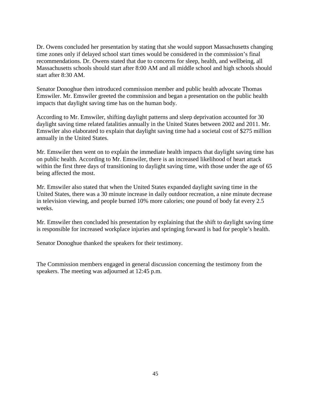Dr. Owens concluded her presentation by stating that she would support Massachusetts changing time zones only if delayed school start times would be considered in the commission's final recommendations. Dr. Owens stated that due to concerns for sleep, health, and wellbeing, all Massachusetts schools should start after 8:00 AM and all middle school and high schools should start after 8:30 AM.

Senator Donoghue then introduced commission member and public health advocate Thomas Emswiler. Mr. Emswiler greeted the commission and began a presentation on the public health impacts that daylight saving time has on the human body.

According to Mr. Emswiler, shifting daylight patterns and sleep deprivation accounted for 30 daylight saving time related fatalities annually in the United States between 2002 and 2011. Mr. Emswiler also elaborated to explain that daylight saving time had a societal cost of \$275 million annually in the United States.

Mr. Emswiler then went on to explain the immediate health impacts that daylight saving time has on public health. According to Mr. Emswiler, there is an increased likelihood of heart attack within the first three days of transitioning to daylight saving time, with those under the age of 65 being affected the most.

Mr. Emswiler also stated that when the United States expanded daylight saving time in the United States, there was a 30 minute increase in daily outdoor recreation, a nine minute decrease in television viewing, and people burned 10% more calories; one pound of body fat every 2.5 weeks.

Mr. Emswiler then concluded his presentation by explaining that the shift to daylight saving time is responsible for increased workplace injuries and springing forward is bad for people's health.

Senator Donoghue thanked the speakers for their testimony.

The Commission members engaged in general discussion concerning the testimony from the speakers. The meeting was adjourned at 12:45 p.m.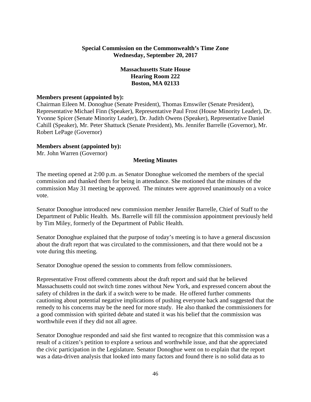## **Special Commission on the Commonwealth's Time Zone Wednesday, September 20, 2017**

## **Massachusetts State House Hearing Room 222 Boston, MA 02133**

#### **Members present (appointed by):**

Chairman Eileen M. Donoghue (Senate President), Thomas Emswiler (Senate President), Representative Michael Finn (Speaker), Representative Paul Frost (House Minority Leader), Dr. Yvonne Spicer (Senate Minority Leader), Dr. Judith Owens (Speaker), Representative Daniel Cahill (Speaker), Mr. Peter Shattuck (Senate President), Ms. Jennifer Barrelle (Governor), Mr. Robert LePage (Governor)

#### **Members absent (appointed by):**

Mr. John Warren (Governor)

#### **Meeting Minutes**

The meeting opened at 2:00 p.m. as Senator Donoghue welcomed the members of the special commission and thanked them for being in attendance. She motioned that the minutes of the commission May 31 meeting be approved. The minutes were approved unanimously on a voice vote.

Senator Donoghue introduced new commission member Jennifer Barrelle, Chief of Staff to the Department of Public Health. Ms. Barrelle will fill the commission appointment previously held by Tim Miley, formerly of the Department of Public Health.

Senator Donoghue explained that the purpose of today's meeting is to have a general discussion about the draft report that was circulated to the commissioners, and that there would not be a vote during this meeting.

Senator Donoghue opened the session to comments from fellow commissioners.

Representative Frost offered comments about the draft report and said that he believed Massachusetts could not switch time zones without New York, and expressed concern about the safety of children in the dark if a switch were to be made. He offered further comments cautioning about potential negative implications of pushing everyone back and suggested that the remedy to his concerns may be the need for more study. He also thanked the commissioners for a good commission with spirited debate and stated it was his belief that the commission was worthwhile even if they did not all agree.

Senator Donoghue responded and said she first wanted to recognize that this commission was a result of a citizen's petition to explore a serious and worthwhile issue, and that she appreciated the civic participation in the Legislature. Senator Donoghue went on to explain that the report was a data-driven analysis that looked into many factors and found there is no solid data as to